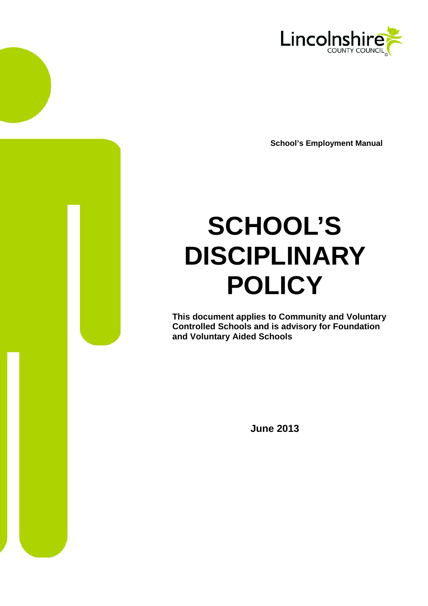

**School's Employment Manual**

# **SCHOOL'S DISCIPLINARY POLICY**

**This document applies to Community and Voluntary Controlled Schools and is advisory for Foundation and Voluntary Aided Schools**

**June 2013**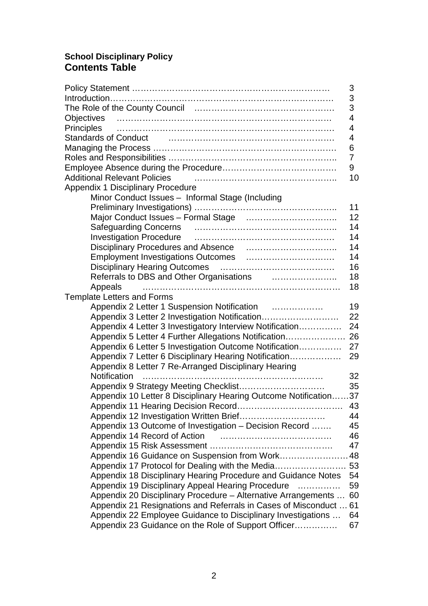# **School Disciplinary Policy Contents Table**

|                                                                             | $\mathsf 3$ |
|-----------------------------------------------------------------------------|-------------|
|                                                                             | 3           |
|                                                                             | 3           |
| Objectives                                                                  | 4           |
| Principles                                                                  | 4           |
| Standards of Conduct Processes and Conduct Processes and Conduct            | 4           |
|                                                                             | 6           |
|                                                                             | 7           |
|                                                                             | 9           |
| <b>Additional Relevant Policies</b>                                         | 10          |
| <b>Appendix 1 Disciplinary Procedure</b>                                    |             |
| Minor Conduct Issues - Informal Stage (Including                            |             |
|                                                                             | 11          |
|                                                                             | 12          |
|                                                                             | 14          |
|                                                                             | 14          |
|                                                                             | 14          |
|                                                                             | 14          |
| <b>Disciplinary Hearing Outcomes</b>                                        | 16          |
| Referrals to DBS and Other Organisations <b>Constanting and Street Pro-</b> | 18          |
| Appeals                                                                     | 18          |
| <b>Template Letters and Forms</b>                                           |             |
| Appendix 2 Letter 1 Suspension Notification                                 | 19          |
| Appendix 3 Letter 2 Investigation Notification                              | 22          |
| Appendix 4 Letter 3 Investigatory Interview Notification                    | 24          |
|                                                                             | 26          |
| Appendix 5 Letter 4 Further Allegations Notification                        |             |
| Appendix 6 Letter 5 Investigation Outcome Notification                      | 27          |
| Appendix 7 Letter 6 Disciplinary Hearing Notification                       | 29          |
| Appendix 8 Letter 7 Re-Arranged Disciplinary Hearing                        |             |
| Notification                                                                | 32          |
|                                                                             | 35          |
| Appendix 10 Letter 8 Disciplinary Hearing Outcome Notification37            |             |
|                                                                             | 43          |
|                                                                             | 44          |
| Appendix 13 Outcome of Investigation - Decision Record                      | 45          |
| Appendix 14 Record of Action                                                | 46          |
|                                                                             | 47          |
| Appendix 16 Guidance on Suspension from Work                                | 48          |
| Appendix 17 Protocol for Dealing with the Media                             | 53          |
| Appendix 18 Disciplinary Hearing Procedure and Guidance Notes               | 54          |
| Appendix 19 Disciplinary Appeal Hearing Procedure                           | 59          |
| Appendix 20 Disciplinary Procedure – Alternative Arrangements               | 60          |
| Appendix 21 Resignations and Referrals in Cases of Misconduct               | 61          |
| Appendix 22 Employee Guidance to Disciplinary Investigations                | 64          |
| Appendix 23 Guidance on the Role of Support Officer                         | 67          |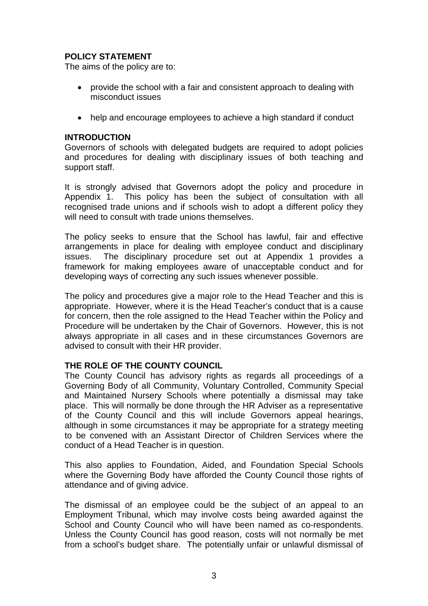# **POLICY STATEMENT**

The aims of the policy are to:

- provide the school with a fair and consistent approach to dealing with misconduct issues
- help and encourage employees to achieve a high standard if conduct

### **INTRODUCTION**

Governors of schools with delegated budgets are required to adopt policies and procedures for dealing with disciplinary issues of both teaching and support staff.

It is strongly advised that Governors adopt the policy and procedure in Appendix 1. This policy has been the subject of consultation with all recognised trade unions and if schools wish to adopt a different policy they will need to consult with trade unions themselves.

The policy seeks to ensure that the School has lawful, fair and effective arrangements in place for dealing with employee conduct and disciplinary issues. The disciplinary procedure set out at Appendix 1 provides a framework for making employees aware of unacceptable conduct and for developing ways of correcting any such issues whenever possible.

The policy and procedures give a major role to the Head Teacher and this is appropriate. However, where it is the Head Teacher's conduct that is a cause for concern, then the role assigned to the Head Teacher within the Policy and Procedure will be undertaken by the Chair of Governors. However, this is not always appropriate in all cases and in these circumstances Governors are advised to consult with their HR provider.

### **THE ROLE OF THE COUNTY COUNCIL**

The County Council has advisory rights as regards all proceedings of a Governing Body of all Community, Voluntary Controlled, Community Special and Maintained Nursery Schools where potentially a dismissal may take place. This will normally be done through the HR Adviser as a representative of the County Council and this will include Governors appeal hearings, although in some circumstances it may be appropriate for a strategy meeting to be convened with an Assistant Director of Children Services where the conduct of a Head Teacher is in question.

This also applies to Foundation, Aided, and Foundation Special Schools where the Governing Body have afforded the County Council those rights of attendance and of giving advice.

The dismissal of an employee could be the subject of an appeal to an Employment Tribunal, which may involve costs being awarded against the School and County Council who will have been named as co-respondents. Unless the County Council has good reason, costs will not normally be met from a school's budget share. The potentially unfair or unlawful dismissal of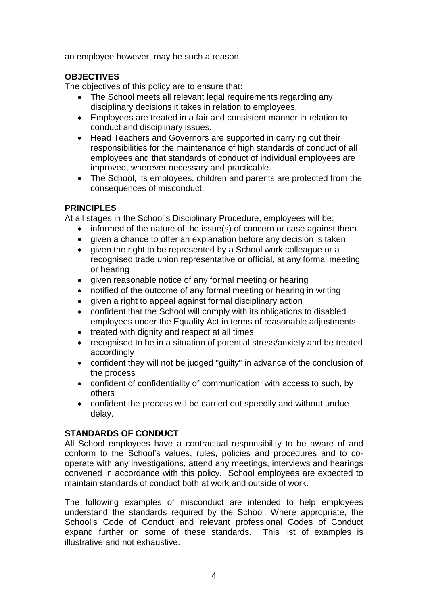an employee however, may be such a reason.

# **OBJECTIVES**

The objectives of this policy are to ensure that:

- The School meets all relevant legal requirements regarding any disciplinary decisions it takes in relation to employees.
- Employees are treated in a fair and consistent manner in relation to conduct and disciplinary issues.
- Head Teachers and Governors are supported in carrying out their responsibilities for the maintenance of high standards of conduct of all employees and that standards of conduct of individual employees are improved, wherever necessary and practicable.
- The School, its employees, children and parents are protected from the consequences of misconduct.

# **PRINCIPLES**

At all stages in the School's Disciplinary Procedure, employees will be:

- informed of the nature of the issue(s) of concern or case against them
- given a chance to offer an explanation before any decision is taken
- given the right to be represented by a School work colleague or a recognised trade union representative or official, at any formal meeting or hearing
- given reasonable notice of any formal meeting or hearing
- notified of the outcome of any formal meeting or hearing in writing
- given a right to appeal against formal disciplinary action
- confident that the School will comply with its obligations to disabled employees under the Equality Act in terms of reasonable adjustments
- treated with dignity and respect at all times
- recognised to be in a situation of potential stress/anxiety and be treated accordingly
- confident they will not be judged "guilty" in advance of the conclusion of the process
- confident of confidentiality of communication; with access to such, by others
- confident the process will be carried out speedily and without undue delay.

# **STANDARDS OF CONDUCT**

All School employees have a contractual responsibility to be aware of and conform to the School's values, rules, policies and procedures and to cooperate with any investigations, attend any meetings, interviews and hearings convened in accordance with this policy. School employees are expected to maintain standards of conduct both at work and outside of work.

The following examples of misconduct are intended to help employees understand the standards required by the School. Where appropriate, the School's Code of Conduct and relevant professional Codes of Conduct expand further on some of these standards. This list of examples is illustrative and not exhaustive.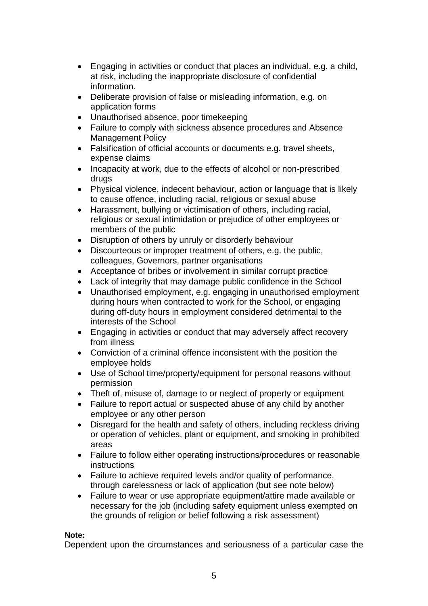- Engaging in activities or conduct that places an individual, e.g. a child, at risk, including the inappropriate disclosure of confidential information.
- Deliberate provision of false or misleading information, e.g. on application forms
- Unauthorised absence, poor timekeeping
- Failure to comply with sickness absence procedures and Absence Management Policy
- Falsification of official accounts or documents e.g. travel sheets, expense claims
- Incapacity at work, due to the effects of alcohol or non-prescribed drugs
- Physical violence, indecent behaviour, action or language that is likely to cause offence, including racial, religious or sexual abuse
- Harassment, bullying or victimisation of others, including racial, religious or sexual intimidation or prejudice of other employees or members of the public
- Disruption of others by unruly or disorderly behaviour
- Discourteous or improper treatment of others, e.g. the public, colleagues, Governors, partner organisations
- Acceptance of bribes or involvement in similar corrupt practice
- Lack of integrity that may damage public confidence in the School
- Unauthorised employment, e.g. engaging in unauthorised employment during hours when contracted to work for the School, or engaging during off-duty hours in employment considered detrimental to the interests of the School
- Engaging in activities or conduct that may adversely affect recovery from illness
- Conviction of a criminal offence inconsistent with the position the employee holds
- Use of School time/property/equipment for personal reasons without permission
- Theft of, misuse of, damage to or neglect of property or equipment
- Failure to report actual or suspected abuse of any child by another employee or any other person
- Disregard for the health and safety of others, including reckless driving or operation of vehicles, plant or equipment, and smoking in prohibited areas
- Failure to follow either operating instructions/procedures or reasonable instructions
- Failure to achieve required levels and/or quality of performance, through carelessness or lack of application (but see note below)
- Failure to wear or use appropriate equipment/attire made available or necessary for the job (including safety equipment unless exempted on the grounds of religion or belief following a risk assessment)

### **Note:**

Dependent upon the circumstances and seriousness of a particular case the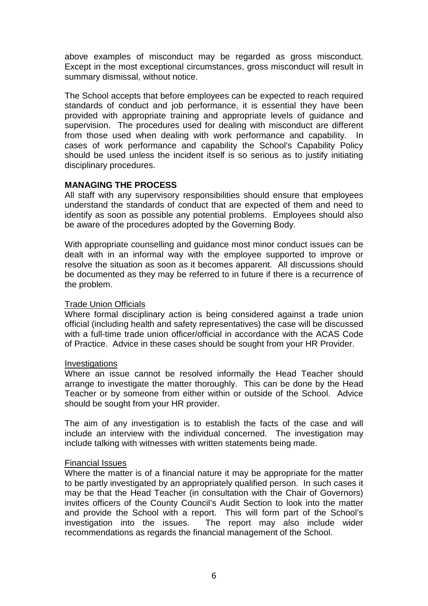above examples of misconduct may be regarded as gross misconduct. Except in the most exceptional circumstances, gross misconduct will result in summary dismissal, without notice.

The School accepts that before employees can be expected to reach required standards of conduct and job performance, it is essential they have been provided with appropriate training and appropriate levels of guidance and supervision. The procedures used for dealing with misconduct are different from those used when dealing with work performance and capability. In cases of work performance and capability the School's Capability Policy should be used unless the incident itself is so serious as to justify initiating disciplinary procedures.

### **MANAGING THE PROCESS**

All staff with any supervisory responsibilities should ensure that employees understand the standards of conduct that are expected of them and need to identify as soon as possible any potential problems. Employees should also be aware of the procedures adopted by the Governing Body.

With appropriate counselling and guidance most minor conduct issues can be dealt with in an informal way with the employee supported to improve or resolve the situation as soon as it becomes apparent. All discussions should be documented as they may be referred to in future if there is a recurrence of the problem.

### Trade Union Officials

Where formal disciplinary action is being considered against a trade union official (including health and safety representatives) the case will be discussed with a full-time trade union officer/official in accordance with the ACAS Code of Practice. Advice in these cases should be sought from your HR Provider.

### **Investigations**

Where an issue cannot be resolved informally the Head Teacher should arrange to investigate the matter thoroughly. This can be done by the Head Teacher or by someone from either within or outside of the School. Advice should be sought from your HR provider.

The aim of any investigation is to establish the facts of the case and will include an interview with the individual concerned. The investigation may include talking with witnesses with written statements being made.

### Financial Issues

Where the matter is of a financial nature it may be appropriate for the matter to be partly investigated by an appropriately qualified person. In such cases it may be that the Head Teacher (in consultation with the Chair of Governors) invites officers of the County Council's Audit Section to look into the matter and provide the School with a report. This will form part of the School's investigation into the issues. The report may also include wider recommendations as regards the financial management of the School.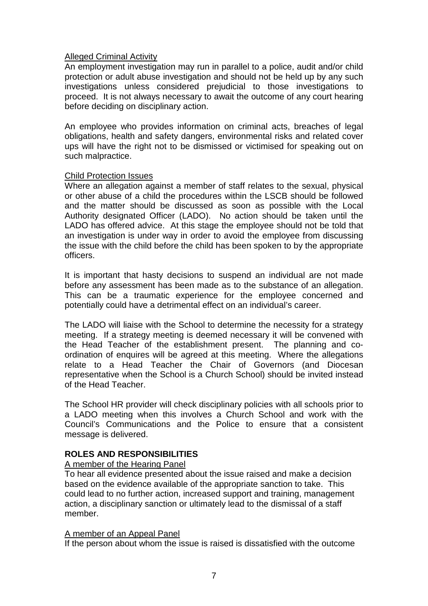### Alleged Criminal Activity

An employment investigation may run in parallel to a police, audit and/or child protection or adult abuse investigation and should not be held up by any such investigations unless considered prejudicial to those investigations to proceed. It is not always necessary to await the outcome of any court hearing before deciding on disciplinary action.

An employee who provides information on criminal acts, breaches of legal obligations, health and safety dangers, environmental risks and related cover ups will have the right not to be dismissed or victimised for speaking out on such malpractice.

### Child Protection Issues

Where an allegation against a member of staff relates to the sexual, physical or other abuse of a child the procedures within the LSCB should be followed and the matter should be discussed as soon as possible with the Local Authority designated Officer (LADO). No action should be taken until the LADO has offered advice. At this stage the employee should not be told that an investigation is under way in order to avoid the employee from discussing the issue with the child before the child has been spoken to by the appropriate officers.

It is important that hasty decisions to suspend an individual are not made before any assessment has been made as to the substance of an allegation. This can be a traumatic experience for the employee concerned and potentially could have a detrimental effect on an individual's career.

The LADO will liaise with the School to determine the necessity for a strategy meeting. If a strategy meeting is deemed necessary it will be convened with the Head Teacher of the establishment present. The planning and coordination of enquires will be agreed at this meeting. Where the allegations relate to a Head Teacher the Chair of Governors (and Diocesan representative when the School is a Church School) should be invited instead of the Head Teacher.

The School HR provider will check disciplinary policies with all schools prior to a LADO meeting when this involves a Church School and work with the Council's Communications and the Police to ensure that a consistent message is delivered.

### **ROLES AND RESPONSIBILITIES**

### A member of the Hearing Panel

To hear all evidence presented about the issue raised and make a decision based on the evidence available of the appropriate sanction to take. This could lead to no further action, increased support and training, management action, a disciplinary sanction or ultimately lead to the dismissal of a staff member.

### A member of an Appeal Panel

If the person about whom the issue is raised is dissatisfied with the outcome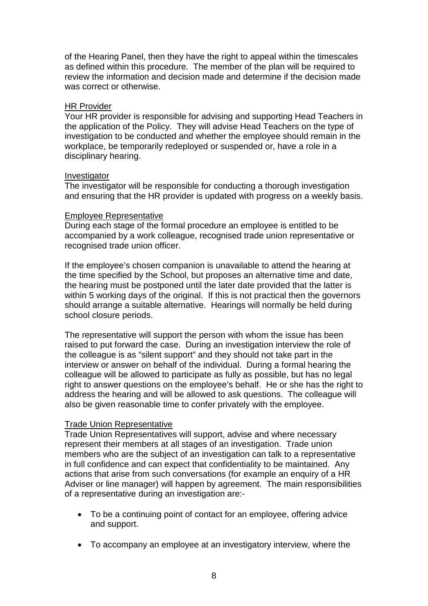of the Hearing Panel, then they have the right to appeal within the timescales as defined within this procedure. The member of the plan will be required to review the information and decision made and determine if the decision made was correct or otherwise.

### HR Provider

Your HR provider is responsible for advising and supporting Head Teachers in the application of the Policy. They will advise Head Teachers on the type of investigation to be conducted and whether the employee should remain in the workplace, be temporarily redeployed or suspended or, have a role in a disciplinary hearing.

### Investigator

The investigator will be responsible for conducting a thorough investigation and ensuring that the HR provider is updated with progress on a weekly basis.

### Employee Representative

During each stage of the formal procedure an employee is entitled to be accompanied by a work colleague, recognised trade union representative or recognised trade union officer.

If the employee's chosen companion is unavailable to attend the hearing at the time specified by the School, but proposes an alternative time and date, the hearing must be postponed until the later date provided that the latter is within 5 working days of the original. If this is not practical then the governors should arrange a suitable alternative. Hearings will normally be held during school closure periods.

The representative will support the person with whom the issue has been raised to put forward the case. During an investigation interview the role of the colleague is as "silent support" and they should not take part in the interview or answer on behalf of the individual. During a formal hearing the colleague will be allowed to participate as fully as possible, but has no legal right to answer questions on the employee's behalf. He or she has the right to address the hearing and will be allowed to ask questions. The colleague will also be given reasonable time to confer privately with the employee.

### Trade Union Representative

Trade Union Representatives will support, advise and where necessary represent their members at all stages of an investigation. Trade union members who are the subject of an investigation can talk to a representative in full confidence and can expect that confidentiality to be maintained. Any actions that arise from such conversations (for example an enquiry of a HR Adviser or line manager) will happen by agreement. The main responsibilities of a representative during an investigation are:-

- To be a continuing point of contact for an employee, offering advice and support.
- To accompany an employee at an investigatory interview, where the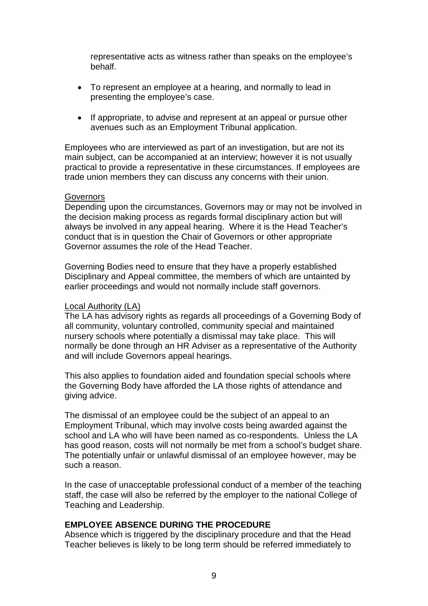representative acts as witness rather than speaks on the employee's behalf.

- To represent an employee at a hearing, and normally to lead in presenting the employee's case.
- If appropriate, to advise and represent at an appeal or pursue other avenues such as an Employment Tribunal application.

Employees who are interviewed as part of an investigation, but are not its main subject, can be accompanied at an interview; however it is not usually practical to provide a representative in these circumstances. If employees are trade union members they can discuss any concerns with their union.

### **Governors**

Depending upon the circumstances, Governors may or may not be involved in the decision making process as regards formal disciplinary action but will always be involved in any appeal hearing. Where it is the Head Teacher's conduct that is in question the Chair of Governors or other appropriate Governor assumes the role of the Head Teacher.

Governing Bodies need to ensure that they have a properly established Disciplinary and Appeal committee, the members of which are untainted by earlier proceedings and would not normally include staff governors.

### Local Authority (LA)

The LA has advisory rights as regards all proceedings of a Governing Body of all community, voluntary controlled, community special and maintained nursery schools where potentially a dismissal may take place. This will normally be done through an HR Adviser as a representative of the Authority and will include Governors appeal hearings.

This also applies to foundation aided and foundation special schools where the Governing Body have afforded the LA those rights of attendance and giving advice.

The dismissal of an employee could be the subject of an appeal to an Employment Tribunal, which may involve costs being awarded against the school and LA who will have been named as co-respondents. Unless the LA has good reason, costs will not normally be met from a school's budget share. The potentially unfair or unlawful dismissal of an employee however, may be such a reason.

In the case of unacceptable professional conduct of a member of the teaching staff, the case will also be referred by the employer to the national College of Teaching and Leadership.

### **EMPLOYEE ABSENCE DURING THE PROCEDURE**

Absence which is triggered by the disciplinary procedure and that the Head Teacher believes is likely to be long term should be referred immediately to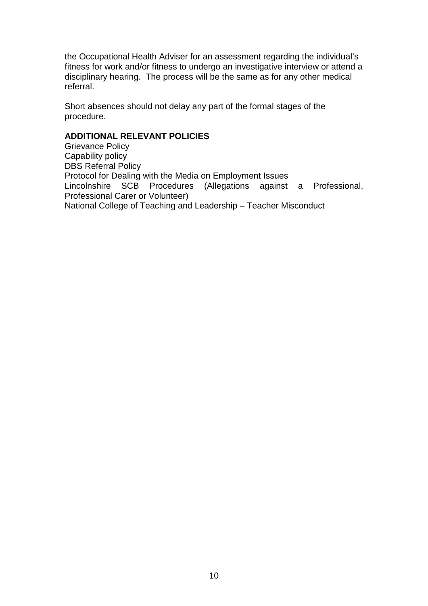the Occupational Health Adviser for an assessment regarding the individual's fitness for work and/or fitness to undergo an investigative interview or attend a disciplinary hearing. The process will be the same as for any other medical referral.

Short absences should not delay any part of the formal stages of the procedure.

# **ADDITIONAL RELEVANT POLICIES**

Grievance Policy Capability policy DBS Referral Policy Protocol for Dealing with the Media on Employment Issues Lincolnshire SCB Procedures (Allegations against a Professional, Professional Carer or Volunteer) National College of Teaching and Leadership – Teacher Misconduct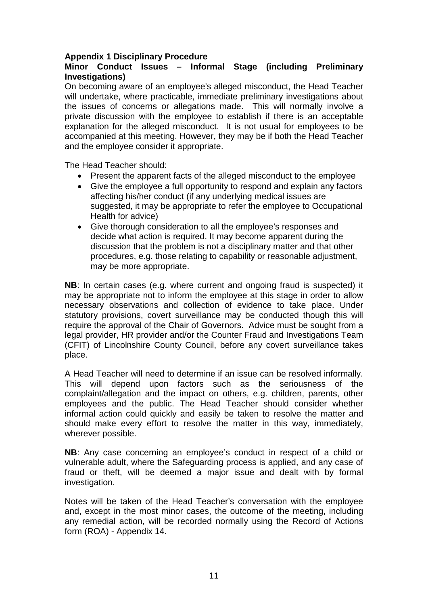### **Appendix 1 Disciplinary Procedure**

### **Minor Conduct Issues – Informal Stage (including Preliminary Investigations)**

On becoming aware of an employee's alleged misconduct, the Head Teacher will undertake, where practicable, immediate preliminary investigations about the issues of concerns or allegations made. This will normally involve a private discussion with the employee to establish if there is an acceptable explanation for the alleged misconduct. It is not usual for employees to be accompanied at this meeting. However, they may be if both the Head Teacher and the employee consider it appropriate.

The Head Teacher should:

- Present the apparent facts of the alleged misconduct to the employee
- Give the employee a full opportunity to respond and explain any factors affecting his/her conduct (if any underlying medical issues are suggested, it may be appropriate to refer the employee to Occupational Health for advice)
- Give thorough consideration to all the employee's responses and decide what action is required. It may become apparent during the discussion that the problem is not a disciplinary matter and that other procedures, e.g. those relating to capability or reasonable adjustment, may be more appropriate.

**NB**: In certain cases (e.g. where current and ongoing fraud is suspected) it may be appropriate not to inform the employee at this stage in order to allow necessary observations and collection of evidence to take place. Under statutory provisions, covert surveillance may be conducted though this will require the approval of the Chair of Governors. Advice must be sought from a legal provider, HR provider and/or the Counter Fraud and Investigations Team (CFIT) of Lincolnshire County Council, before any covert surveillance takes place.

A Head Teacher will need to determine if an issue can be resolved informally. This will depend upon factors such as the seriousness of the complaint/allegation and the impact on others, e.g. children, parents, other employees and the public. The Head Teacher should consider whether informal action could quickly and easily be taken to resolve the matter and should make every effort to resolve the matter in this way, immediately, wherever possible.

**NB**: Any case concerning an employee's conduct in respect of a child or vulnerable adult, where the Safeguarding process is applied, and any case of fraud or theft, will be deemed a major issue and dealt with by formal investigation.

Notes will be taken of the Head Teacher's conversation with the employee and, except in the most minor cases, the outcome of the meeting, including any remedial action, will be recorded normally using the Record of Actions form (ROA) - Appendix 14.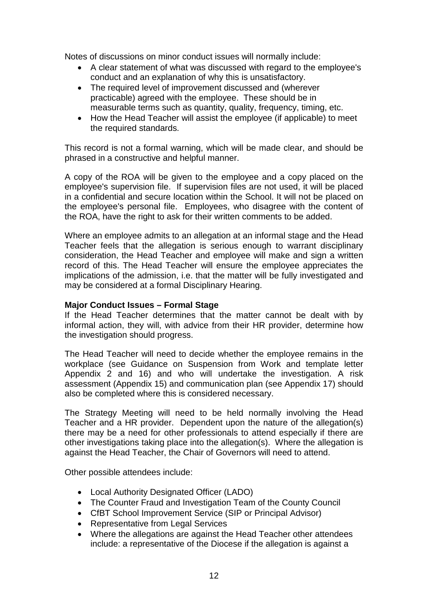Notes of discussions on minor conduct issues will normally include:

- A clear statement of what was discussed with regard to the employee's conduct and an explanation of why this is unsatisfactory.
- The required level of improvement discussed and (wherever practicable) agreed with the employee. These should be in measurable terms such as quantity, quality, frequency, timing, etc.
- How the Head Teacher will assist the employee (if applicable) to meet the required standards.

This record is not a formal warning, which will be made clear, and should be phrased in a constructive and helpful manner.

A copy of the ROA will be given to the employee and a copy placed on the employee's supervision file. If supervision files are not used, it will be placed in a confidential and secure location within the School. It will not be placed on the employee's personal file. Employees, who disagree with the content of the ROA, have the right to ask for their written comments to be added.

Where an employee admits to an allegation at an informal stage and the Head Teacher feels that the allegation is serious enough to warrant disciplinary consideration, the Head Teacher and employee will make and sign a written record of this. The Head Teacher will ensure the employee appreciates the implications of the admission, i.e. that the matter will be fully investigated and may be considered at a formal Disciplinary Hearing.

### **Major Conduct Issues – Formal Stage**

If the Head Teacher determines that the matter cannot be dealt with by informal action, they will, with advice from their HR provider, determine how the investigation should progress.

The Head Teacher will need to decide whether the employee remains in the workplace (see Guidance on Suspension from Work and template letter Appendix 2 and 16) and who will undertake the investigation. A risk assessment (Appendix 15) and communication plan (see Appendix 17) should also be completed where this is considered necessary.

The Strategy Meeting will need to be held normally involving the Head Teacher and a HR provider. Dependent upon the nature of the allegation(s) there may be a need for other professionals to attend especially if there are other investigations taking place into the allegation(s). Where the allegation is against the Head Teacher, the Chair of Governors will need to attend.

Other possible attendees include:

- Local Authority Designated Officer (LADO)
- The Counter Fraud and Investigation Team of the County Council
- CfBT School Improvement Service (SIP or Principal Advisor)
- Representative from Legal Services
- Where the allegations are against the Head Teacher other attendees include: a representative of the Diocese if the allegation is against a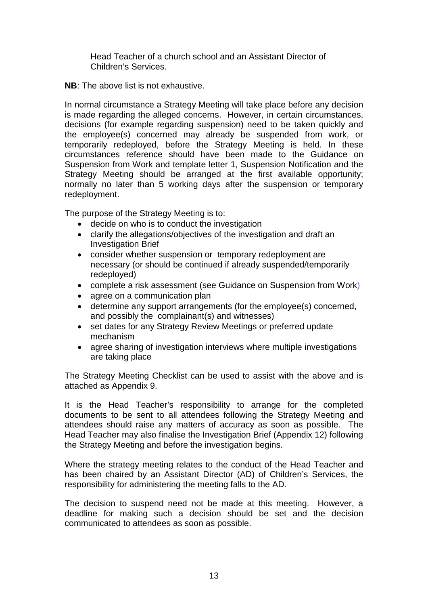Head Teacher of a church school and an Assistant Director of Children's Services.

**NB**: The above list is not exhaustive.

In normal circumstance a Strategy Meeting will take place before any decision is made regarding the alleged concerns. However, in certain circumstances, decisions (for example regarding suspension) need to be taken quickly and the employee(s) concerned may already be suspended from work, or temporarily redeployed, before the Strategy Meeting is held. In these circumstances reference should have been made to the Guidance on Suspension from Work and template letter 1, Suspension Notification and the Strategy Meeting should be arranged at the first available opportunity; normally no later than 5 working days after the suspension or temporary redeployment.

The purpose of the Strategy Meeting is to:

- decide on who is to conduct the investigation
- clarify the allegations/objectives of the investigation and draft an Investigation Brief
- consider whether suspension or temporary redeployment are necessary (or should be continued if already suspended/temporarily redeployed)
- complete a risk assessment (see Guidance on Suspension from Work)
- agree on a communication plan
- determine any support arrangements (for the employee(s) concerned, and possibly the complainant(s) and witnesses)
- set dates for any Strategy Review Meetings or preferred update mechanism
- agree sharing of investigation interviews where multiple investigations are taking place

The Strategy Meeting Checklist can be used to assist with the above and is attached as Appendix 9.

It is the Head Teacher's responsibility to arrange for the completed documents to be sent to all attendees following the Strategy Meeting and attendees should raise any matters of accuracy as soon as possible. The Head Teacher may also finalise the Investigation Brief (Appendix 12) following the Strategy Meeting and before the investigation begins.

Where the strategy meeting relates to the conduct of the Head Teacher and has been chaired by an Assistant Director (AD) of Children's Services, the responsibility for administering the meeting falls to the AD.

The decision to suspend need not be made at this meeting. However, a deadline for making such a decision should be set and the decision communicated to attendees as soon as possible.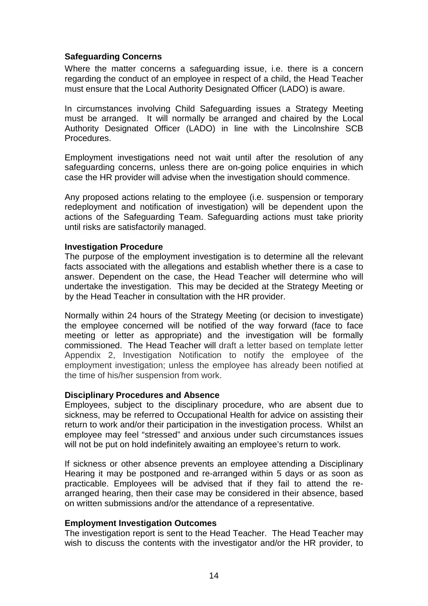### **Safeguarding Concerns**

Where the matter concerns a safeguarding issue, i.e. there is a concern regarding the conduct of an employee in respect of a child, the Head Teacher must ensure that the Local Authority Designated Officer (LADO) is aware.

In circumstances involving Child Safeguarding issues a Strategy Meeting must be arranged. It will normally be arranged and chaired by the Local Authority Designated Officer (LADO) in line with the Lincolnshire SCB Procedures.

Employment investigations need not wait until after the resolution of any safeguarding concerns, unless there are on-going police enquiries in which case the HR provider will advise when the investigation should commence.

Any proposed actions relating to the employee (i.e. suspension or temporary redeployment and notification of investigation) will be dependent upon the actions of the Safeguarding Team. Safeguarding actions must take priority until risks are satisfactorily managed.

### **Investigation Procedure**

The purpose of the employment investigation is to determine all the relevant facts associated with the allegations and establish whether there is a case to answer. Dependent on the case, the Head Teacher will determine who will undertake the investigation. This may be decided at the Strategy Meeting or by the Head Teacher in consultation with the HR provider.

Normally within 24 hours of the Strategy Meeting (or decision to investigate) the employee concerned will be notified of the way forward (face to face meeting or letter as appropriate) and the investigation will be formally commissioned. The Head Teacher will draft a letter based on template letter Appendix 2, Investigation Notification to notify the employee of the employment investigation; unless the employee has already been notified at the time of his/her suspension from work.

### **Disciplinary Procedures and Absence**

Employees, subject to the disciplinary procedure, who are absent due to sickness, may be referred to Occupational Health for advice on assisting their return to work and/or their participation in the investigation process. Whilst an employee may feel "stressed" and anxious under such circumstances issues will not be put on hold indefinitely awaiting an employee's return to work.

If sickness or other absence prevents an employee attending a Disciplinary Hearing it may be postponed and re-arranged within 5 days or as soon as practicable. Employees will be advised that if they fail to attend the rearranged hearing, then their case may be considered in their absence, based on written submissions and/or the attendance of a representative.

### **Employment Investigation Outcomes**

The investigation report is sent to the Head Teacher. The Head Teacher may wish to discuss the contents with the investigator and/or the HR provider, to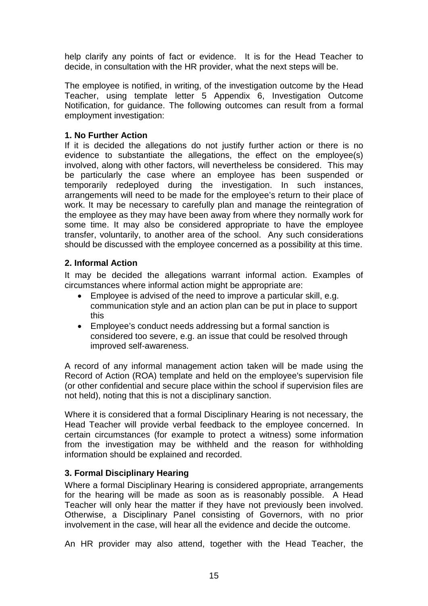help clarify any points of fact or evidence. It is for the Head Teacher to decide, in consultation with the HR provider, what the next steps will be.

The employee is notified, in writing, of the investigation outcome by the Head Teacher, using template letter 5 Appendix 6, Investigation Outcome Notification, for guidance. The following outcomes can result from a formal employment investigation:

### **1. No Further Action**

If it is decided the allegations do not justify further action or there is no evidence to substantiate the allegations, the effect on the employee(s) involved, along with other factors, will nevertheless be considered. This may be particularly the case where an employee has been suspended or temporarily redeployed during the investigation. In such instances, arrangements will need to be made for the employee's return to their place of work. It may be necessary to carefully plan and manage the reintegration of the employee as they may have been away from where they normally work for some time. It may also be considered appropriate to have the employee transfer, voluntarily, to another area of the school. Any such considerations should be discussed with the employee concerned as a possibility at this time.

### **2. Informal Action**

It may be decided the allegations warrant informal action. Examples of circumstances where informal action might be appropriate are:

- Employee is advised of the need to improve a particular skill, e.g. communication style and an action plan can be put in place to support this
- Employee's conduct needs addressing but a formal sanction is considered too severe, e.g. an issue that could be resolved through improved self-awareness.

A record of any informal management action taken will be made using the Record of Action (ROA) template and held on the employee's supervision file (or other confidential and secure place within the school if supervision files are not held), noting that this is not a disciplinary sanction.

Where it is considered that a formal Disciplinary Hearing is not necessary, the Head Teacher will provide verbal feedback to the employee concerned. In certain circumstances (for example to protect a witness) some information from the investigation may be withheld and the reason for withholding information should be explained and recorded.

# **3. Formal Disciplinary Hearing**

Where a formal Disciplinary Hearing is considered appropriate, arrangements for the hearing will be made as soon as is reasonably possible. A Head Teacher will only hear the matter if they have not previously been involved. Otherwise, a Disciplinary Panel consisting of Governors, with no prior involvement in the case, will hear all the evidence and decide the outcome.

An HR provider may also attend, together with the Head Teacher, the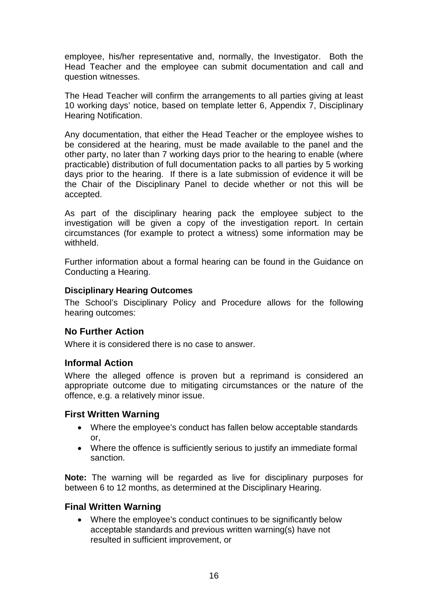employee, his/her representative and, normally, the Investigator. Both the Head Teacher and the employee can submit documentation and call and question witnesses.

The Head Teacher will confirm the arrangements to all parties giving at least 10 working days' notice, based on template letter 6, Appendix 7, Disciplinary Hearing Notification.

Any documentation, that either the Head Teacher or the employee wishes to be considered at the hearing, must be made available to the panel and the other party, no later than 7 working days prior to the hearing to enable (where practicable) distribution of full documentation packs to all parties by 5 working days prior to the hearing. If there is a late submission of evidence it will be the Chair of the Disciplinary Panel to decide whether or not this will be accepted.

As part of the disciplinary hearing pack the employee subject to the investigation will be given a copy of the investigation report. In certain circumstances (for example to protect a witness) some information may be withheld.

Further information about a formal hearing can be found in the Guidance on Conducting a Hearing.

### **Disciplinary Hearing Outcomes**

The School's Disciplinary Policy and Procedure allows for the following hearing outcomes:

# **No Further Action**

Where it is considered there is no case to answer.

### **Informal Action**

Where the alleged offence is proven but a reprimand is considered an appropriate outcome due to mitigating circumstances or the nature of the offence, e.g. a relatively minor issue.

### **First Written Warning**

- Where the employee's conduct has fallen below acceptable standards or,
- Where the offence is sufficiently serious to justify an immediate formal sanction.

**Note:** The warning will be regarded as live for disciplinary purposes for between 6 to 12 months, as determined at the Disciplinary Hearing.

### **Final Written Warning**

• Where the employee's conduct continues to be significantly below acceptable standards and previous written warning(s) have not resulted in sufficient improvement, or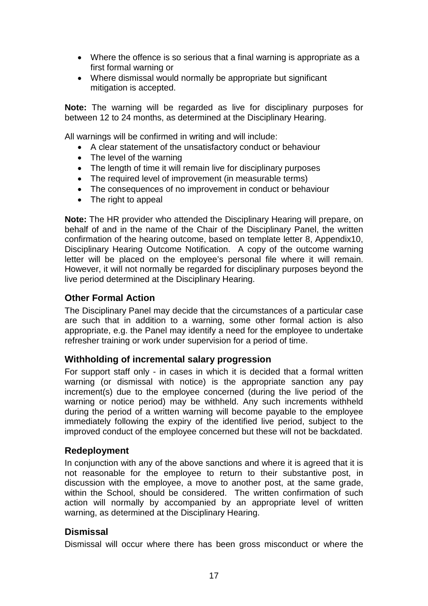- Where the offence is so serious that a final warning is appropriate as a first formal warning or
- Where dismissal would normally be appropriate but significant mitigation is accepted.

**Note:** The warning will be regarded as live for disciplinary purposes for between 12 to 24 months, as determined at the Disciplinary Hearing.

All warnings will be confirmed in writing and will include:

- A clear statement of the unsatisfactory conduct or behaviour
- The level of the warning
- The length of time it will remain live for disciplinary purposes
- The required level of improvement (in measurable terms)
- The consequences of no improvement in conduct or behaviour
- The right to appeal

**Note:** The HR provider who attended the Disciplinary Hearing will prepare, on behalf of and in the name of the Chair of the Disciplinary Panel, the written confirmation of the hearing outcome, based on template letter 8, Appendix10, Disciplinary Hearing Outcome Notification. A copy of the outcome warning letter will be placed on the employee's personal file where it will remain. However, it will not normally be regarded for disciplinary purposes beyond the live period determined at the Disciplinary Hearing.

# **Other Formal Action**

The Disciplinary Panel may decide that the circumstances of a particular case are such that in addition to a warning, some other formal action is also appropriate, e.g. the Panel may identify a need for the employee to undertake refresher training or work under supervision for a period of time.

# **Withholding of incremental salary progression**

For support staff only - in cases in which it is decided that a formal written warning (or dismissal with notice) is the appropriate sanction any pay increment(s) due to the employee concerned (during the live period of the warning or notice period) may be withheld. Any such increments withheld during the period of a written warning will become payable to the employee immediately following the expiry of the identified live period, subject to the improved conduct of the employee concerned but these will not be backdated.

# **Redeployment**

In conjunction with any of the above sanctions and where it is agreed that it is not reasonable for the employee to return to their substantive post, in discussion with the employee, a move to another post, at the same grade, within the School, should be considered. The written confirmation of such action will normally by accompanied by an appropriate level of written warning, as determined at the Disciplinary Hearing.

# **Dismissal**

Dismissal will occur where there has been gross misconduct or where the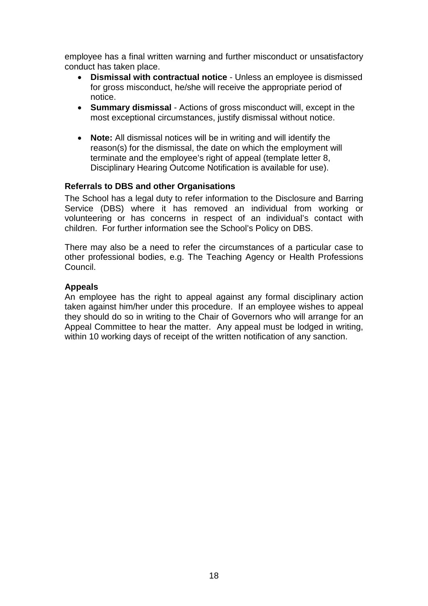employee has a final written warning and further misconduct or unsatisfactory conduct has taken place.

- **Dismissal with contractual notice** Unless an employee is dismissed for gross misconduct, he/she will receive the appropriate period of notice.
- **Summary dismissal** Actions of gross misconduct will, except in the most exceptional circumstances, justify dismissal without notice.
- **Note:** All dismissal notices will be in writing and will identify the reason(s) for the dismissal, the date on which the employment will terminate and the employee's right of appeal (template letter 8, Disciplinary Hearing Outcome Notification is available for use).

### **Referrals to DBS and other Organisations**

The School has a legal duty to refer information to the Disclosure and Barring Service (DBS) where it has removed an individual from working or volunteering or has concerns in respect of an individual's contact with children. For further information see the School's Policy on DBS.

There may also be a need to refer the circumstances of a particular case to other professional bodies, e.g. The Teaching Agency or Health Professions Council.

### **Appeals**

An employee has the right to appeal against any formal disciplinary action taken against him/her under this procedure. If an employee wishes to appeal they should do so in writing to the Chair of Governors who will arrange for an Appeal Committee to hear the matter. Any appeal must be lodged in writing, within 10 working days of receipt of the written notification of any sanction.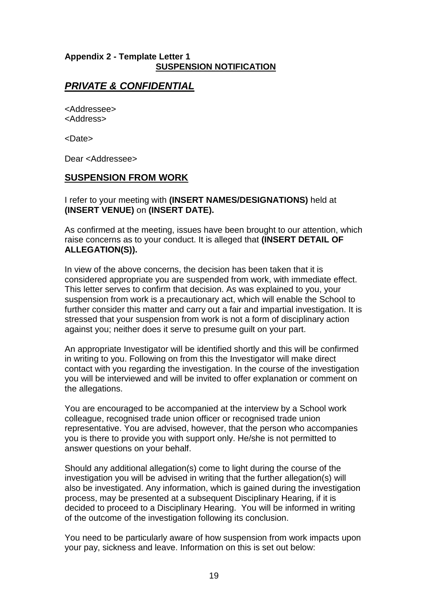### **Appendix 2 - Template Letter 1 SUSPENSION NOTIFICATION**

# *PRIVATE & CONFIDENTIAL*

<Addressee> <Address>

<Date>

Dear <Addressee>

### **SUSPENSION FROM WORK**

I refer to your meeting with **(INSERT NAMES/DESIGNATIONS)** held at **(INSERT VENUE)** on **(INSERT DATE).**

As confirmed at the meeting, issues have been brought to our attention, which raise concerns as to your conduct. It is alleged that **(INSERT DETAIL OF ALLEGATION(S)).**

In view of the above concerns, the decision has been taken that it is considered appropriate you are suspended from work, with immediate effect. This letter serves to confirm that decision. As was explained to you, your suspension from work is a precautionary act, which will enable the School to further consider this matter and carry out a fair and impartial investigation. It is stressed that your suspension from work is not a form of disciplinary action against you; neither does it serve to presume guilt on your part.

An appropriate Investigator will be identified shortly and this will be confirmed in writing to you. Following on from this the Investigator will make direct contact with you regarding the investigation. In the course of the investigation you will be interviewed and will be invited to offer explanation or comment on the allegations.

You are encouraged to be accompanied at the interview by a School work colleague, recognised trade union officer or recognised trade union representative. You are advised, however, that the person who accompanies you is there to provide you with support only. He/she is not permitted to answer questions on your behalf.

Should any additional allegation(s) come to light during the course of the investigation you will be advised in writing that the further allegation(s) will also be investigated. Any information, which is gained during the investigation process, may be presented at a subsequent Disciplinary Hearing, if it is decided to proceed to a Disciplinary Hearing. You will be informed in writing of the outcome of the investigation following its conclusion.

You need to be particularly aware of how suspension from work impacts upon your pay, sickness and leave. Information on this is set out below: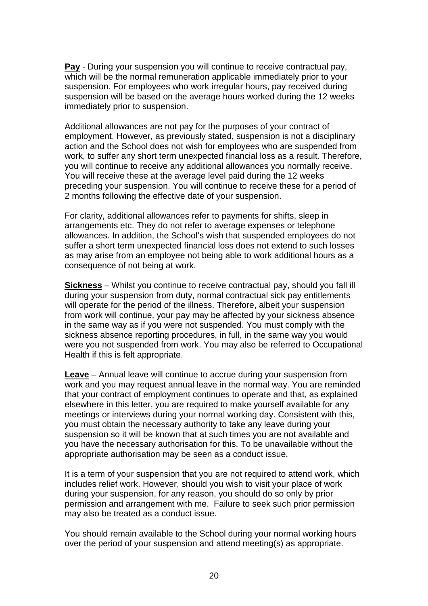**Pay** - During your suspension you will continue to receive contractual pay, which will be the normal remuneration applicable immediately prior to your suspension. For employees who work irregular hours, pay received during suspension will be based on the average hours worked during the 12 weeks immediately prior to suspension.

Additional allowances are not pay for the purposes of your contract of employment. However, as previously stated, suspension is not a disciplinary action and the School does not wish for employees who are suspended from work, to suffer any short term unexpected financial loss as a result. Therefore, you will continue to receive any additional allowances you normally receive. You will receive these at the average level paid during the 12 weeks preceding your suspension. You will continue to receive these for a period of 2 months following the effective date of your suspension.

For clarity, additional allowances refer to payments for shifts, sleep in arrangements etc. They do not refer to average expenses or telephone allowances. In addition, the School's wish that suspended employees do not suffer a short term unexpected financial loss does not extend to such losses as may arise from an employee not being able to work additional hours as a consequence of not being at work.

**Sickness** – Whilst you continue to receive contractual pay, should you fall ill during your suspension from duty, normal contractual sick pay entitlements will operate for the period of the illness. Therefore, albeit your suspension from work will continue, your pay may be affected by your sickness absence in the same way as if you were not suspended. You must comply with the sickness absence reporting procedures, in full, in the same way you would were you not suspended from work. You may also be referred to Occupational Health if this is felt appropriate.

**Leave** – Annual leave will continue to accrue during your suspension from work and you may request annual leave in the normal way. You are reminded that your contract of employment continues to operate and that, as explained elsewhere in this letter, you are required to make yourself available for any meetings or interviews during your normal working day. Consistent with this, you must obtain the necessary authority to take any leave during your suspension so it will be known that at such times you are not available and you have the necessary authorisation for this. To be unavailable without the appropriate authorisation may be seen as a conduct issue.

It is a term of your suspension that you are not required to attend work, which includes relief work. However, should you wish to visit your place of work during your suspension, for any reason, you should do so only by prior permission and arrangement with me. Failure to seek such prior permission may also be treated as a conduct issue.

You should remain available to the School during your normal working hours over the period of your suspension and attend meeting(s) as appropriate.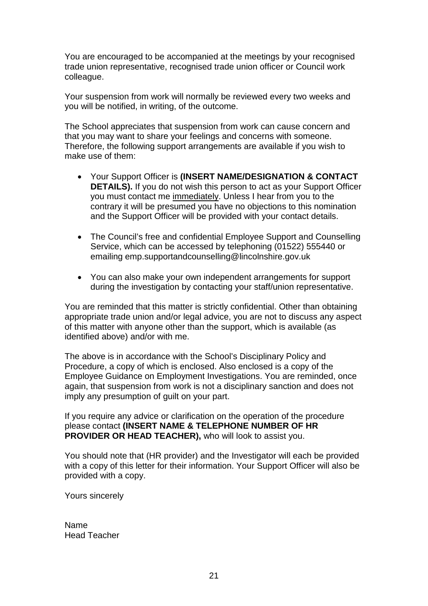You are encouraged to be accompanied at the meetings by your recognised trade union representative, recognised trade union officer or Council work colleague.

Your suspension from work will normally be reviewed every two weeks and you will be notified, in writing, of the outcome.

The School appreciates that suspension from work can cause concern and that you may want to share your feelings and concerns with someone. Therefore, the following support arrangements are available if you wish to make use of them:

- Your Support Officer is **(INSERT NAME/DESIGNATION & CONTACT DETAILS).** If you do not wish this person to act as your Support Officer you must contact me immediately. Unless I hear from you to the contrary it will be presumed you have no objections to this nomination and the Support Officer will be provided with your contact details.
- The Council's free and confidential Employee Support and Counselling Service, which can be accessed by telephoning (01522) 555440 or emailing emp.supportandcounselling@lincolnshire.gov.uk
- You can also make your own independent arrangements for support during the investigation by contacting your staff/union representative.

You are reminded that this matter is strictly confidential. Other than obtaining appropriate trade union and/or legal advice, you are not to discuss any aspect of this matter with anyone other than the support, which is available (as identified above) and/or with me.

The above is in accordance with the School's Disciplinary Policy and Procedure, a copy of which is enclosed. Also enclosed is a copy of the Employee Guidance on Employment Investigations. You are reminded, once again, that suspension from work is not a disciplinary sanction and does not imply any presumption of guilt on your part.

If you require any advice or clarification on the operation of the procedure please contact **(INSERT NAME & TELEPHONE NUMBER OF HR PROVIDER OR HEAD TEACHER),** who will look to assist you.

You should note that (HR provider) and the Investigator will each be provided with a copy of this letter for their information. Your Support Officer will also be provided with a copy.

Yours sincerely

Name Head Teacher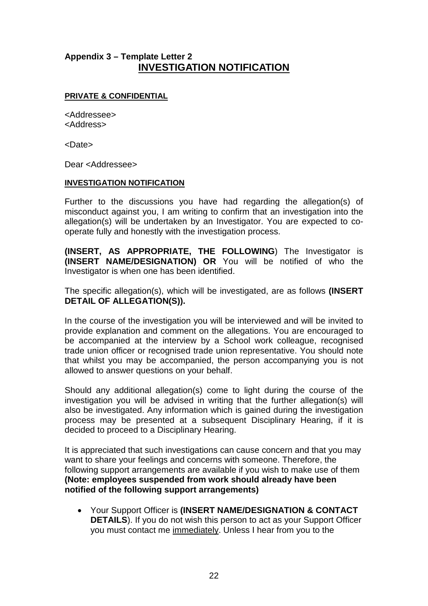# **Appendix 3 – Template Letter 2 INVESTIGATION NOTIFICATION**

### **PRIVATE & CONFIDENTIAL**

<Addressee> <Address>

<Date>

Dear <Addressee>

### **INVESTIGATION NOTIFICATION**

Further to the discussions you have had regarding the allegation(s) of misconduct against you, I am writing to confirm that an investigation into the allegation(s) will be undertaken by an Investigator. You are expected to cooperate fully and honestly with the investigation process.

**(INSERT, AS APPROPRIATE, THE FOLLOWING**) The Investigator is **(INSERT NAME/DESIGNATION) OR** You will be notified of who the Investigator is when one has been identified.

The specific allegation(s), which will be investigated, are as follows **(INSERT DETAIL OF ALLEGATION(S)).**

In the course of the investigation you will be interviewed and will be invited to provide explanation and comment on the allegations. You are encouraged to be accompanied at the interview by a School work colleague, recognised trade union officer or recognised trade union representative. You should note that whilst you may be accompanied, the person accompanying you is not allowed to answer questions on your behalf.

Should any additional allegation(s) come to light during the course of the investigation you will be advised in writing that the further allegation(s) will also be investigated. Any information which is gained during the investigation process may be presented at a subsequent Disciplinary Hearing, if it is decided to proceed to a Disciplinary Hearing.

It is appreciated that such investigations can cause concern and that you may want to share your feelings and concerns with someone. Therefore, the following support arrangements are available if you wish to make use of them **(Note: employees suspended from work should already have been notified of the following support arrangements)**

• Your Support Officer is **(INSERT NAME/DESIGNATION & CONTACT DETAILS**). If you do not wish this person to act as your Support Officer you must contact me immediately. Unless I hear from you to the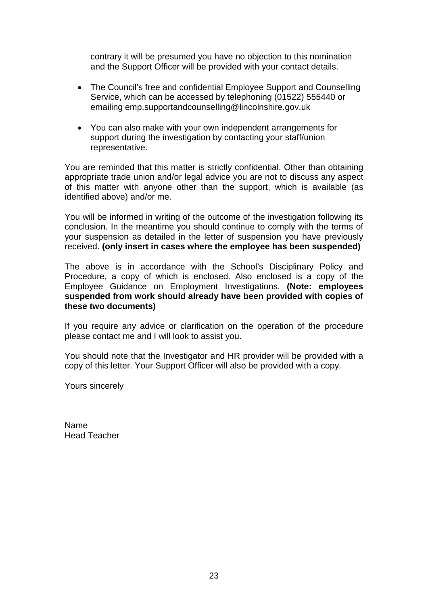contrary it will be presumed you have no objection to this nomination and the Support Officer will be provided with your contact details.

- The Council's free and confidential Employee Support and Counselling Service, which can be accessed by telephoning (01522) 555440 or emailing emp.supportandcounselling@lincolnshire.gov.uk
- You can also make with your own independent arrangements for support during the investigation by contacting your staff/union representative.

You are reminded that this matter is strictly confidential. Other than obtaining appropriate trade union and/or legal advice you are not to discuss any aspect of this matter with anyone other than the support, which is available (as identified above) and/or me.

You will be informed in writing of the outcome of the investigation following its conclusion. In the meantime you should continue to comply with the terms of your suspension as detailed in the letter of suspension you have previously received. **(only insert in cases where the employee has been suspended)**

The above is in accordance with the School's Disciplinary Policy and Procedure, a copy of which is enclosed. Also enclosed is a copy of the Employee Guidance on Employment Investigations. **(Note: employees suspended from work should already have been provided with copies of these two documents)** 

If you require any advice or clarification on the operation of the procedure please contact me and I will look to assist you.

You should note that the Investigator and HR provider will be provided with a copy of this letter. Your Support Officer will also be provided with a copy.

Yours sincerely

Name Head Teacher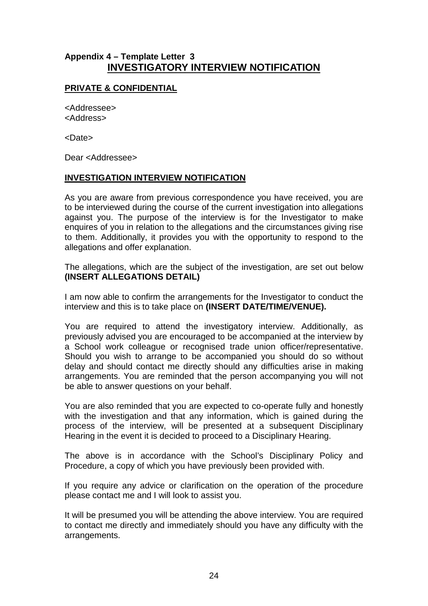# **Appendix 4 – Template Letter 3 INVESTIGATORY INTERVIEW NOTIFICATION**

# **PRIVATE & CONFIDENTIAL**

<Addressee> <Address>

<Date>

Dear <Addressee>

### **INVESTIGATION INTERVIEW NOTIFICATION**

As you are aware from previous correspondence you have received, you are to be interviewed during the course of the current investigation into allegations against you. The purpose of the interview is for the Investigator to make enquires of you in relation to the allegations and the circumstances giving rise to them. Additionally, it provides you with the opportunity to respond to the allegations and offer explanation.

The allegations, which are the subject of the investigation, are set out below **(INSERT ALLEGATIONS DETAIL)**

I am now able to confirm the arrangements for the Investigator to conduct the interview and this is to take place on **(INSERT DATE/TIME/VENUE).**

You are required to attend the investigatory interview. Additionally, as previously advised you are encouraged to be accompanied at the interview by a School work colleague or recognised trade union officer/representative. Should you wish to arrange to be accompanied you should do so without delay and should contact me directly should any difficulties arise in making arrangements. You are reminded that the person accompanying you will not be able to answer questions on your behalf.

You are also reminded that you are expected to co-operate fully and honestly with the investigation and that any information, which is gained during the process of the interview, will be presented at a subsequent Disciplinary Hearing in the event it is decided to proceed to a Disciplinary Hearing.

The above is in accordance with the School's Disciplinary Policy and Procedure, a copy of which you have previously been provided with.

If you require any advice or clarification on the operation of the procedure please contact me and I will look to assist you.

It will be presumed you will be attending the above interview. You are required to contact me directly and immediately should you have any difficulty with the arrangements.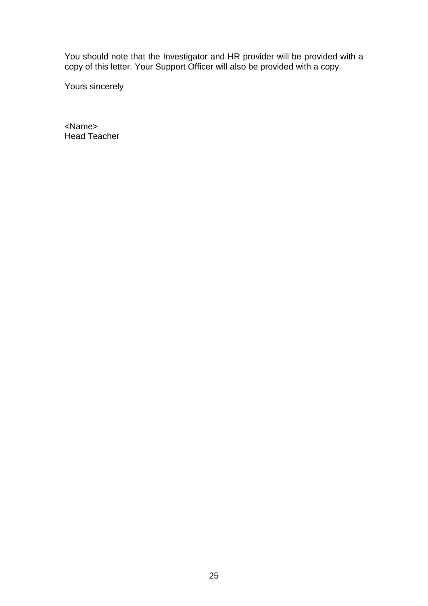You should note that the Investigator and HR provider will be provided with a copy of this letter. Your Support Officer will also be provided with a copy.

Yours sincerely

<Name> Head Teacher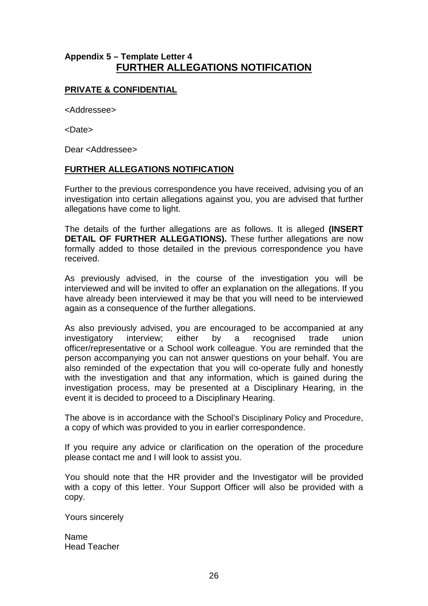# **Appendix 5 – Template Letter 4 FURTHER ALLEGATIONS NOTIFICATION**

### **PRIVATE & CONFIDENTIAL**

<Addressee>

<Date>

Dear <Addressee>

### **FURTHER ALLEGATIONS NOTIFICATION**

Further to the previous correspondence you have received, advising you of an investigation into certain allegations against you, you are advised that further allegations have come to light.

The details of the further allegations are as follows. It is alleged **(INSERT DETAIL OF FURTHER ALLEGATIONS).** These further allegations are now formally added to those detailed in the previous correspondence you have received.

As previously advised, in the course of the investigation you will be interviewed and will be invited to offer an explanation on the allegations. If you have already been interviewed it may be that you will need to be interviewed again as a consequence of the further allegations.

As also previously advised, you are encouraged to be accompanied at any investigatory interview; either by a recognised trade union officer/representative or a School work colleague. You are reminded that the person accompanying you can not answer questions on your behalf. You are also reminded of the expectation that you will co-operate fully and honestly with the investigation and that any information, which is gained during the investigation process, may be presented at a Disciplinary Hearing, in the event it is decided to proceed to a Disciplinary Hearing.

The above is in accordance with the School's Disciplinary Policy and Procedure, a copy of which was provided to you in earlier correspondence.

If you require any advice or clarification on the operation of the procedure please contact me and I will look to assist you.

You should note that the HR provider and the Investigator will be provided with a copy of this letter. Your Support Officer will also be provided with a copy.

Yours sincerely

Name Head Teacher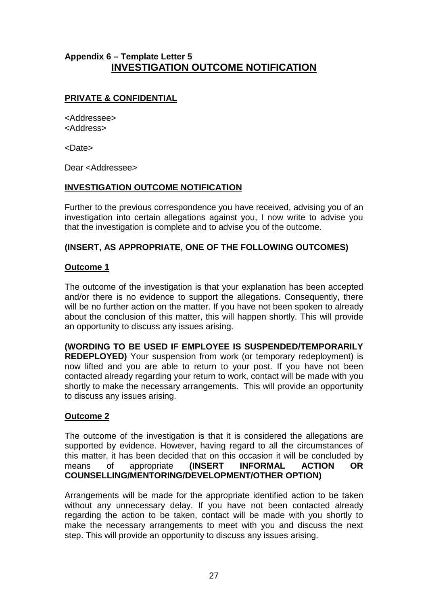# **Appendix 6 – Template Letter 5 INVESTIGATION OUTCOME NOTIFICATION**

# **PRIVATE & CONFIDENTIAL**

<Addressee> <Address>

<Date>

Dear <Addressee>

### **INVESTIGATION OUTCOME NOTIFICATION**

Further to the previous correspondence you have received, advising you of an investigation into certain allegations against you, I now write to advise you that the investigation is complete and to advise you of the outcome.

### **(INSERT, AS APPROPRIATE, ONE OF THE FOLLOWING OUTCOMES)**

### **Outcome 1**

The outcome of the investigation is that your explanation has been accepted and/or there is no evidence to support the allegations. Consequently, there will be no further action on the matter. If you have not been spoken to already about the conclusion of this matter, this will happen shortly. This will provide an opportunity to discuss any issues arising.

**(WORDING TO BE USED IF EMPLOYEE IS SUSPENDED/TEMPORARILY REDEPLOYED)** Your suspension from work (or temporary redeployment) is now lifted and you are able to return to your post. If you have not been contacted already regarding your return to work, contact will be made with you shortly to make the necessary arrangements. This will provide an opportunity to discuss any issues arising.

# **Outcome 2**

The outcome of the investigation is that it is considered the allegations are supported by evidence. However, having regard to all the circumstances of this matter, it has been decided that on this occasion it will be concluded by means of appropriate **(INSERT INFORMAL ACTION OR COUNSELLING/MENTORING/DEVELOPMENT/OTHER OPTION)**

Arrangements will be made for the appropriate identified action to be taken without any unnecessary delay. If you have not been contacted already regarding the action to be taken, contact will be made with you shortly to make the necessary arrangements to meet with you and discuss the next step. This will provide an opportunity to discuss any issues arising.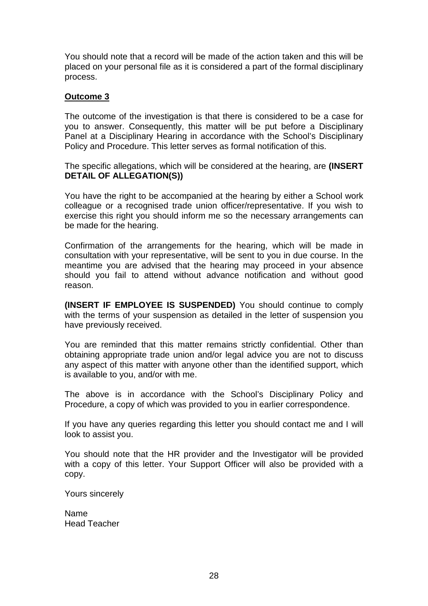You should note that a record will be made of the action taken and this will be placed on your personal file as it is considered a part of the formal disciplinary process.

### **Outcome 3**

The outcome of the investigation is that there is considered to be a case for you to answer. Consequently, this matter will be put before a Disciplinary Panel at a Disciplinary Hearing in accordance with the School's Disciplinary Policy and Procedure. This letter serves as formal notification of this.

The specific allegations, which will be considered at the hearing, are **(INSERT DETAIL OF ALLEGATION(S))**

You have the right to be accompanied at the hearing by either a School work colleague or a recognised trade union officer/representative. If you wish to exercise this right you should inform me so the necessary arrangements can be made for the hearing.

Confirmation of the arrangements for the hearing, which will be made in consultation with your representative, will be sent to you in due course. In the meantime you are advised that the hearing may proceed in your absence should you fail to attend without advance notification and without good reason.

**(INSERT IF EMPLOYEE IS SUSPENDED)** You should continue to comply with the terms of your suspension as detailed in the letter of suspension you have previously received.

You are reminded that this matter remains strictly confidential. Other than obtaining appropriate trade union and/or legal advice you are not to discuss any aspect of this matter with anyone other than the identified support, which is available to you, and/or with me.

The above is in accordance with the School's Disciplinary Policy and Procedure, a copy of which was provided to you in earlier correspondence.

If you have any queries regarding this letter you should contact me and I will look to assist you.

You should note that the HR provider and the Investigator will be provided with a copy of this letter. Your Support Officer will also be provided with a copy.

Yours sincerely

Name Head Teacher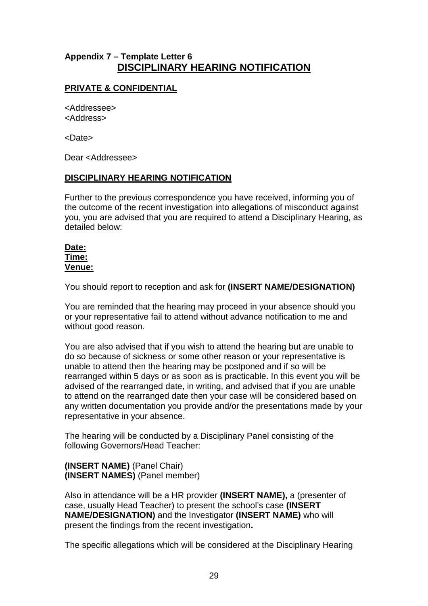# **Appendix 7 – Template Letter 6 DISCIPLINARY HEARING NOTIFICATION**

# **PRIVATE & CONFIDENTIAL**

<Addressee> <Address>

<Date>

Dear <Addressee>

### **DISCIPLINARY HEARING NOTIFICATION**

Further to the previous correspondence you have received, informing you of the outcome of the recent investigation into allegations of misconduct against you, you are advised that you are required to attend a Disciplinary Hearing, as detailed below:

### **Date: Time: Venue:**

You should report to reception and ask for **(INSERT NAME/DESIGNATION)**

You are reminded that the hearing may proceed in your absence should you or your representative fail to attend without advance notification to me and without good reason.

You are also advised that if you wish to attend the hearing but are unable to do so because of sickness or some other reason or your representative is unable to attend then the hearing may be postponed and if so will be rearranged within 5 days or as soon as is practicable. In this event you will be advised of the rearranged date, in writing, and advised that if you are unable to attend on the rearranged date then your case will be considered based on any written documentation you provide and/or the presentations made by your representative in your absence.

The hearing will be conducted by a Disciplinary Panel consisting of the following Governors/Head Teacher:

**(INSERT NAME)** (Panel Chair) **(INSERT NAMES)** (Panel member)

Also in attendance will be a HR provider **(INSERT NAME),** a (presenter of case, usually Head Teacher) to present the school's case **(INSERT NAME/DESIGNATION)** and the Investigator **(INSERT NAME)** who will present the findings from the recent investigation**.**

The specific allegations which will be considered at the Disciplinary Hearing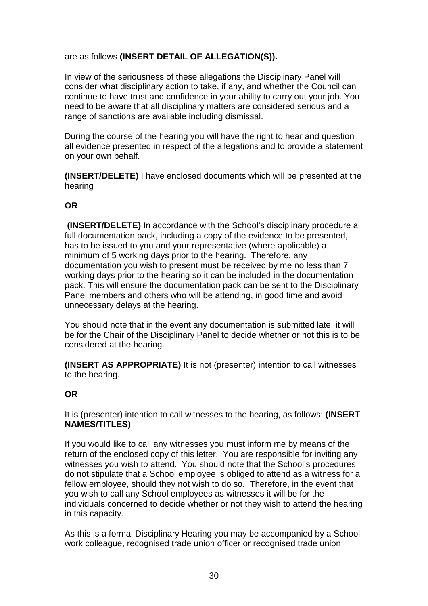# are as follows **(INSERT DETAIL OF ALLEGATION(S)).**

In view of the seriousness of these allegations the Disciplinary Panel will consider what disciplinary action to take, if any, and whether the Council can continue to have trust and confidence in your ability to carry out your job. You need to be aware that all disciplinary matters are considered serious and a range of sanctions are available including dismissal.

During the course of the hearing you will have the right to hear and question all evidence presented in respect of the allegations and to provide a statement on your own behalf.

**(INSERT/DELETE)** I have enclosed documents which will be presented at the hearing

### **OR**

**(INSERT/DELETE)** In accordance with the School's disciplinary procedure a full documentation pack, including a copy of the evidence to be presented, has to be issued to you and your representative (where applicable) a minimum of 5 working days prior to the hearing. Therefore, any documentation you wish to present must be received by me no less than 7 working days prior to the hearing so it can be included in the documentation pack. This will ensure the documentation pack can be sent to the Disciplinary Panel members and others who will be attending, in good time and avoid unnecessary delays at the hearing.

You should note that in the event any documentation is submitted late, it will be for the Chair of the Disciplinary Panel to decide whether or not this is to be considered at the hearing.

**(INSERT AS APPROPRIATE)** It is not (presenter) intention to call witnesses to the hearing.

# **OR**

It is (presenter) intention to call witnesses to the hearing, as follows: **(INSERT NAMES/TITLES)**

If you would like to call any witnesses you must inform me by means of the return of the enclosed copy of this letter. You are responsible for inviting any witnesses you wish to attend. You should note that the School's procedures do not stipulate that a School employee is obliged to attend as a witness for a fellow employee, should they not wish to do so. Therefore, in the event that you wish to call any School employees as witnesses it will be for the individuals concerned to decide whether or not they wish to attend the hearing in this capacity.

As this is a formal Disciplinary Hearing you may be accompanied by a School work colleague, recognised trade union officer or recognised trade union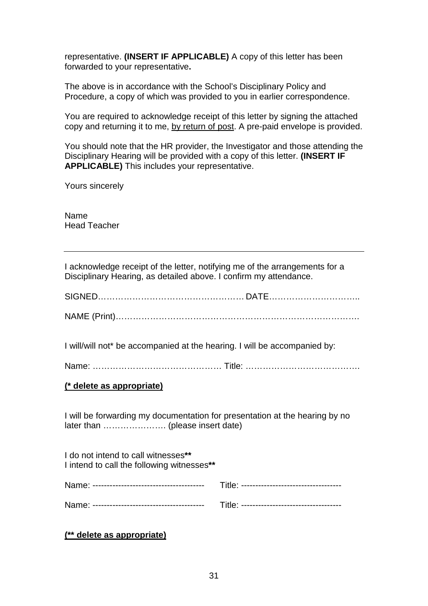representative. **(INSERT IF APPLICABLE)** A copy of this letter has been forwarded to your representative**.**

The above is in accordance with the School's Disciplinary Policy and Procedure, a copy of which was provided to you in earlier correspondence.

You are required to acknowledge receipt of this letter by signing the attached copy and returning it to me, by return of post. A pre-paid envelope is provided.

You should note that the HR provider, the Investigator and those attending the Disciplinary Hearing will be provided with a copy of this letter. **(INSERT IF APPLICABLE)** This includes your representative.

Yours sincerely

Name Head Teacher

I acknowledge receipt of the letter, notifying me of the arrangements for a Disciplinary Hearing, as detailed above. I confirm my attendance.

I will/will not\* be accompanied at the hearing. I will be accompanied by:

### **(\* delete as appropriate)**

I will be forwarding my documentation for presentation at the hearing by no later than …………………. (please insert date)

| I do not intend to call witnesses**<br>I intend to call the following witnesses** |  |
|-----------------------------------------------------------------------------------|--|
|                                                                                   |  |
|                                                                                   |  |

**(\*\* delete as appropriate)**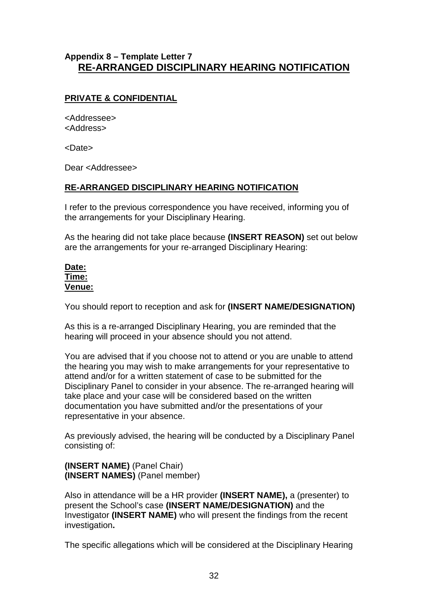# **Appendix 8 – Template Letter 7 RE-ARRANGED DISCIPLINARY HEARING NOTIFICATION**

# **PRIVATE & CONFIDENTIAL**

<Addressee> <Address>

<Date>

Dear <Addressee>

### **RE-ARRANGED DISCIPLINARY HEARING NOTIFICATION**

I refer to the previous correspondence you have received, informing you of the arrangements for your Disciplinary Hearing.

As the hearing did not take place because **(INSERT REASON)** set out below are the arrangements for your re-arranged Disciplinary Hearing:

### **Date: Time: Venue:**

You should report to reception and ask for **(INSERT NAME/DESIGNATION)**

As this is a re-arranged Disciplinary Hearing, you are reminded that the hearing will proceed in your absence should you not attend.

You are advised that if you choose not to attend or you are unable to attend the hearing you may wish to make arrangements for your representative to attend and/or for a written statement of case to be submitted for the Disciplinary Panel to consider in your absence. The re-arranged hearing will take place and your case will be considered based on the written documentation you have submitted and/or the presentations of your representative in your absence.

As previously advised, the hearing will be conducted by a Disciplinary Panel consisting of:

**(INSERT NAME)** (Panel Chair) **(INSERT NAMES)** (Panel member)

Also in attendance will be a HR provider **(INSERT NAME),** a (presenter) to present the School's case **(INSERT NAME/DESIGNATION)** and the Investigator **(INSERT NAME)** who will present the findings from the recent investigation**.**

The specific allegations which will be considered at the Disciplinary Hearing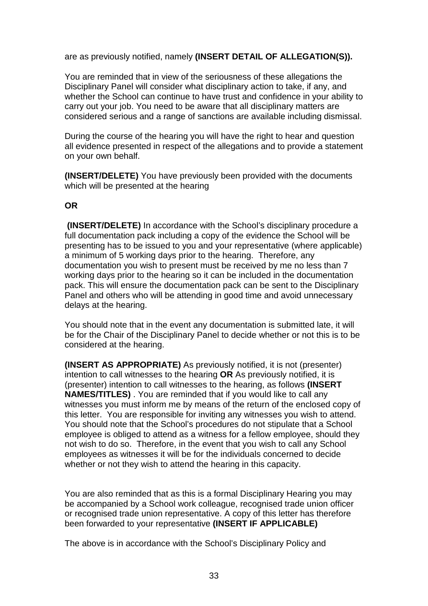are as previously notified, namely **(INSERT DETAIL OF ALLEGATION(S)).**

You are reminded that in view of the seriousness of these allegations the Disciplinary Panel will consider what disciplinary action to take, if any, and whether the School can continue to have trust and confidence in your ability to carry out your job. You need to be aware that all disciplinary matters are considered serious and a range of sanctions are available including dismissal.

During the course of the hearing you will have the right to hear and question all evidence presented in respect of the allegations and to provide a statement on your own behalf.

**(INSERT/DELETE)** You have previously been provided with the documents which will be presented at the hearing

### **OR**

**(INSERT/DELETE)** In accordance with the School's disciplinary procedure a full documentation pack including a copy of the evidence the School will be presenting has to be issued to you and your representative (where applicable) a minimum of 5 working days prior to the hearing. Therefore, any documentation you wish to present must be received by me no less than 7 working days prior to the hearing so it can be included in the documentation pack. This will ensure the documentation pack can be sent to the Disciplinary Panel and others who will be attending in good time and avoid unnecessary delays at the hearing.

You should note that in the event any documentation is submitted late, it will be for the Chair of the Disciplinary Panel to decide whether or not this is to be considered at the hearing.

**(INSERT AS APPROPRIATE)** As previously notified, it is not (presenter) intention to call witnesses to the hearing **OR** As previously notified, it is (presenter) intention to call witnesses to the hearing, as follows **(INSERT NAMES/TITLES)** . You are reminded that if you would like to call any witnesses you must inform me by means of the return of the enclosed copy of this letter. You are responsible for inviting any witnesses you wish to attend. You should note that the School's procedures do not stipulate that a School employee is obliged to attend as a witness for a fellow employee, should they not wish to do so. Therefore, in the event that you wish to call any School employees as witnesses it will be for the individuals concerned to decide whether or not they wish to attend the hearing in this capacity.

You are also reminded that as this is a formal Disciplinary Hearing you may be accompanied by a School work colleague, recognised trade union officer or recognised trade union representative. A copy of this letter has therefore been forwarded to your representative **(INSERT IF APPLICABLE)**

The above is in accordance with the School's Disciplinary Policy and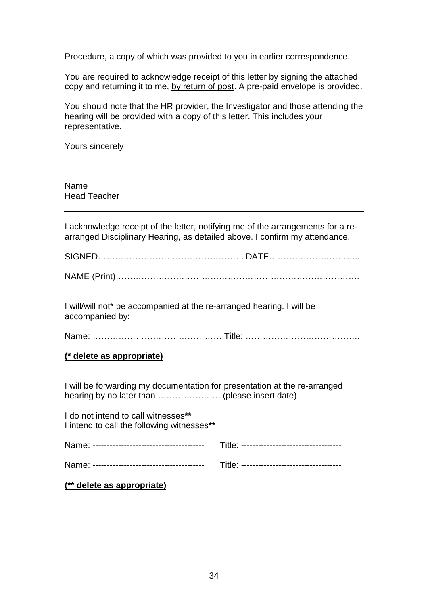Procedure, a copy of which was provided to you in earlier correspondence.

You are required to acknowledge receipt of this letter by signing the attached copy and returning it to me, by return of post. A pre-paid envelope is provided.

You should note that the HR provider, the Investigator and those attending the hearing will be provided with a copy of this letter. This includes your representative.

Yours sincerely

Name Head Teacher

I acknowledge receipt of the letter, notifying me of the arrangements for a rearranged Disciplinary Hearing, as detailed above. I confirm my attendance.

SIGNED…………………………………………… DATE…………………………..

NAME (Print)………………………………………………………………………….

I will/will not\* be accompanied at the re-arranged hearing. I will be accompanied by:

Name: ……………………………………… Title: ………………………………….

### **(\* delete as appropriate)**

I will be forwarding my documentation for presentation at the re-arranged hearing by no later than …………………. (please insert date)

I do not intend to call witnesses**\*\*** I intend to call the following witnesses**\*\***

**(\*\* delete as appropriate)**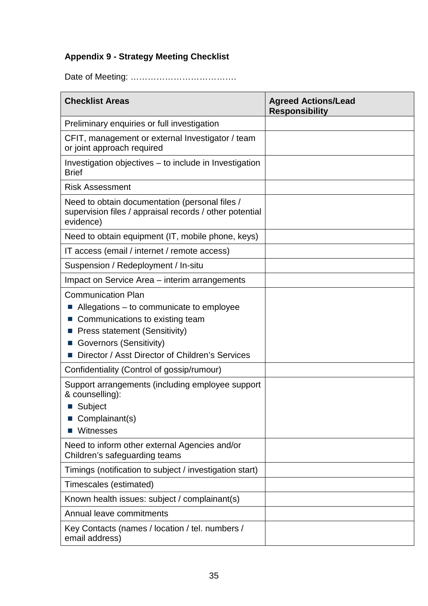# **Appendix 9 - Strategy Meeting Checklist**

Date of Meeting: ……………………………….

| <b>Checklist Areas</b>                                                                                                                                                                                                  | <b>Agreed Actions/Lead</b><br><b>Responsibility</b> |
|-------------------------------------------------------------------------------------------------------------------------------------------------------------------------------------------------------------------------|-----------------------------------------------------|
| Preliminary enquiries or full investigation                                                                                                                                                                             |                                                     |
| CFIT, management or external Investigator / team<br>or joint approach required                                                                                                                                          |                                                     |
| Investigation objectives – to include in Investigation<br><b>Brief</b>                                                                                                                                                  |                                                     |
| <b>Risk Assessment</b>                                                                                                                                                                                                  |                                                     |
| Need to obtain documentation (personal files /<br>supervision files / appraisal records / other potential<br>evidence)                                                                                                  |                                                     |
| Need to obtain equipment (IT, mobile phone, keys)                                                                                                                                                                       |                                                     |
| IT access (email / internet / remote access)                                                                                                                                                                            |                                                     |
| Suspension / Redeployment / In-situ                                                                                                                                                                                     |                                                     |
| Impact on Service Area – interim arrangements                                                                                                                                                                           |                                                     |
| <b>Communication Plan</b><br>Allegations – to communicate to employee<br>Communications to existing team<br>Press statement (Sensitivity)<br>Governors (Sensitivity)<br>Director / Asst Director of Children's Services |                                                     |
| Confidentiality (Control of gossip/rumour)                                                                                                                                                                              |                                                     |
| Support arrangements (including employee support<br>& counselling):<br>Subject<br>Complainant(s)<br>Witnesses                                                                                                           |                                                     |
| Need to inform other external Agencies and/or<br>Children's safeguarding teams                                                                                                                                          |                                                     |
| Timings (notification to subject / investigation start)                                                                                                                                                                 |                                                     |
| Timescales (estimated)                                                                                                                                                                                                  |                                                     |
| Known health issues: subject / complainant(s)                                                                                                                                                                           |                                                     |
| Annual leave commitments                                                                                                                                                                                                |                                                     |
| Key Contacts (names / location / tel. numbers /<br>email address)                                                                                                                                                       |                                                     |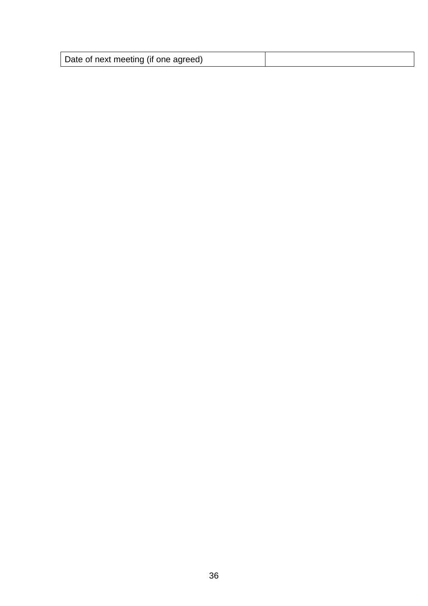| Date of next meeting (if one agreed) |  |
|--------------------------------------|--|
|--------------------------------------|--|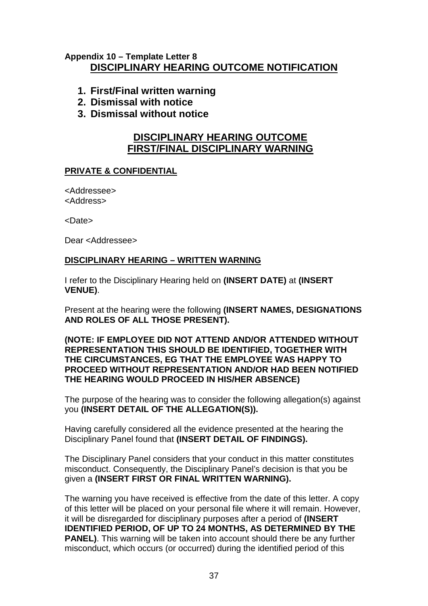# **Appendix 10 – Template Letter 8 DISCIPLINARY HEARING OUTCOME NOTIFICATION**

- **1. First/Final written warning**
- **2. Dismissal with notice**
- **3. Dismissal without notice**

# **DISCIPLINARY HEARING OUTCOME FIRST/FINAL DISCIPLINARY WARNING**

# **PRIVATE & CONFIDENTIAL**

<Addressee> <Address>

<Date>

Dear <Addressee>

### **DISCIPLINARY HEARING – WRITTEN WARNING**

I refer to the Disciplinary Hearing held on **(INSERT DATE)** at **(INSERT VENUE)**.

Present at the hearing were the following **(INSERT NAMES, DESIGNATIONS AND ROLES OF ALL THOSE PRESENT).** 

### **(NOTE: IF EMPLOYEE DID NOT ATTEND AND/OR ATTENDED WITHOUT REPRESENTATION THIS SHOULD BE IDENTIFIED, TOGETHER WITH THE CIRCUMSTANCES, EG THAT THE EMPLOYEE WAS HAPPY TO PROCEED WITHOUT REPRESENTATION AND/OR HAD BEEN NOTIFIED THE HEARING WOULD PROCEED IN HIS/HER ABSENCE)**

The purpose of the hearing was to consider the following allegation(s) against you **(INSERT DETAIL OF THE ALLEGATION(S)).**

Having carefully considered all the evidence presented at the hearing the Disciplinary Panel found that **(INSERT DETAIL OF FINDINGS).**

The Disciplinary Panel considers that your conduct in this matter constitutes misconduct. Consequently, the Disciplinary Panel's decision is that you be given a **(INSERT FIRST OR FINAL WRITTEN WARNING).**

The warning you have received is effective from the date of this letter. A copy of this letter will be placed on your personal file where it will remain. However, it will be disregarded for disciplinary purposes after a period of **(INSERT IDENTIFIED PERIOD, OF UP TO 24 MONTHS, AS DETERMINED BY THE PANEL)**. This warning will be taken into account should there be any further misconduct, which occurs (or occurred) during the identified period of this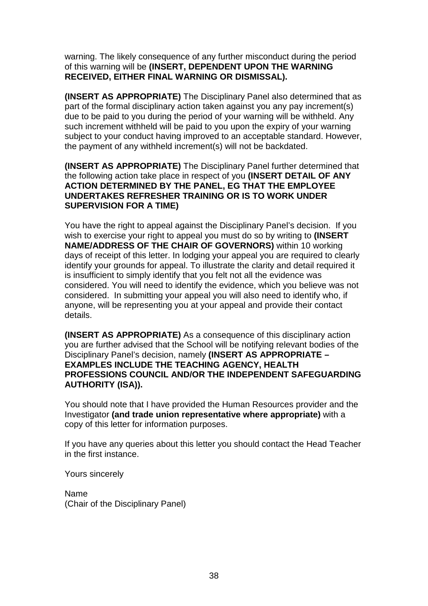warning. The likely consequence of any further misconduct during the period of this warning will be **(INSERT, DEPENDENT UPON THE WARNING RECEIVED, EITHER FINAL WARNING OR DISMISSAL).**

**(INSERT AS APPROPRIATE)** The Disciplinary Panel also determined that as part of the formal disciplinary action taken against you any pay increment(s) due to be paid to you during the period of your warning will be withheld. Any such increment withheld will be paid to you upon the expiry of your warning subject to your conduct having improved to an acceptable standard. However, the payment of any withheld increment(s) will not be backdated.

**(INSERT AS APPROPRIATE)** The Disciplinary Panel further determined that the following action take place in respect of you **(INSERT DETAIL OF ANY ACTION DETERMINED BY THE PANEL, EG THAT THE EMPLOYEE UNDERTAKES REFRESHER TRAINING OR IS TO WORK UNDER SUPERVISION FOR A TIME)**

You have the right to appeal against the Disciplinary Panel's decision. If you wish to exercise your right to appeal you must do so by writing to **(INSERT NAME/ADDRESS OF THE CHAIR OF GOVERNORS)** within 10 working days of receipt of this letter. In lodging your appeal you are required to clearly identify your grounds for appeal. To illustrate the clarity and detail required it is insufficient to simply identify that you felt not all the evidence was considered. You will need to identify the evidence, which you believe was not considered. In submitting your appeal you will also need to identify who, if anyone, will be representing you at your appeal and provide their contact details.

**(INSERT AS APPROPRIATE)** As a consequence of this disciplinary action you are further advised that the School will be notifying relevant bodies of the Disciplinary Panel's decision, namely **(INSERT AS APPROPRIATE – EXAMPLES INCLUDE THE TEACHING AGENCY, HEALTH PROFESSIONS COUNCIL AND/OR THE INDEPENDENT SAFEGUARDING AUTHORITY (ISA)).**

You should note that I have provided the Human Resources provider and the Investigator **(and trade union representative where appropriate)** with a copy of this letter for information purposes.

If you have any queries about this letter you should contact the Head Teacher in the first instance.

Yours sincerely

Name (Chair of the Disciplinary Panel)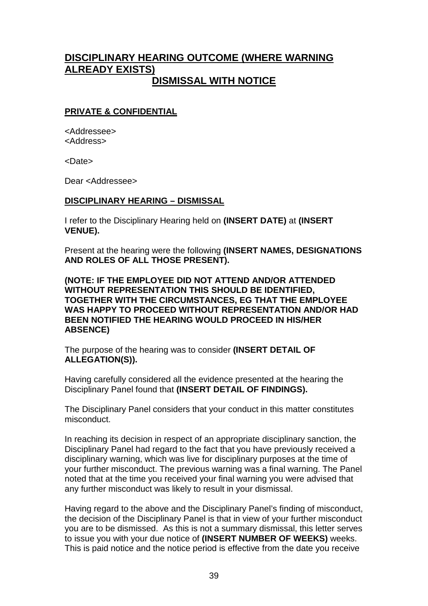# **DISCIPLINARY HEARING OUTCOME (WHERE WARNING ALREADY EXISTS) DISMISSAL WITH NOTICE**

### **PRIVATE & CONFIDENTIAL**

<Addressee> <Address>

<Date>

Dear <Addressee>

### **DISCIPLINARY HEARING – DISMISSAL**

I refer to the Disciplinary Hearing held on **(INSERT DATE)** at **(INSERT VENUE).**

Present at the hearing were the following **(INSERT NAMES, DESIGNATIONS AND ROLES OF ALL THOSE PRESENT).**

**(NOTE: IF THE EMPLOYEE DID NOT ATTEND AND/OR ATTENDED WITHOUT REPRESENTATION THIS SHOULD BE IDENTIFIED, TOGETHER WITH THE CIRCUMSTANCES, EG THAT THE EMPLOYEE WAS HAPPY TO PROCEED WITHOUT REPRESENTATION AND/OR HAD BEEN NOTIFIED THE HEARING WOULD PROCEED IN HIS/HER ABSENCE)**

The purpose of the hearing was to consider **(INSERT DETAIL OF ALLEGATION(S)).**

Having carefully considered all the evidence presented at the hearing the Disciplinary Panel found that **(INSERT DETAIL OF FINDINGS).**

The Disciplinary Panel considers that your conduct in this matter constitutes misconduct.

In reaching its decision in respect of an appropriate disciplinary sanction, the Disciplinary Panel had regard to the fact that you have previously received a disciplinary warning, which was live for disciplinary purposes at the time of your further misconduct. The previous warning was a final warning. The Panel noted that at the time you received your final warning you were advised that any further misconduct was likely to result in your dismissal.

Having regard to the above and the Disciplinary Panel's finding of misconduct, the decision of the Disciplinary Panel is that in view of your further misconduct you are to be dismissed. As this is not a summary dismissal, this letter serves to issue you with your due notice of **(INSERT NUMBER OF WEEKS)** weeks. This is paid notice and the notice period is effective from the date you receive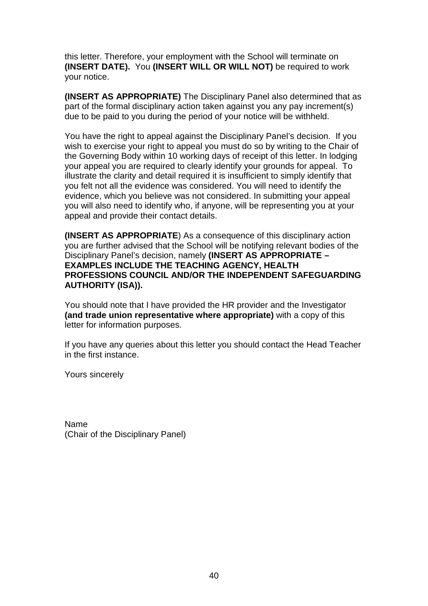this letter. Therefore, your employment with the School will terminate on **(INSERT DATE).** You **(INSERT WILL OR WILL NOT)** be required to work your notice.

**(INSERT AS APPROPRIATE)** The Disciplinary Panel also determined that as part of the formal disciplinary action taken against you any pay increment(s) due to be paid to you during the period of your notice will be withheld.

You have the right to appeal against the Disciplinary Panel's decision. If you wish to exercise your right to appeal you must do so by writing to the Chair of the Governing Body within 10 working days of receipt of this letter. In lodging your appeal you are required to clearly identify your grounds for appeal. To illustrate the clarity and detail required it is insufficient to simply identify that you felt not all the evidence was considered. You will need to identify the evidence, which you believe was not considered. In submitting your appeal you will also need to identify who, if anyone, will be representing you at your appeal and provide their contact details.

**(INSERT AS APPROPRIATE**) As a consequence of this disciplinary action you are further advised that the School will be notifying relevant bodies of the Disciplinary Panel's decision, namely **(INSERT AS APPROPRIATE – EXAMPLES INCLUDE THE TEACHING AGENCY, HEALTH PROFESSIONS COUNCIL AND/OR THE INDEPENDENT SAFEGUARDING AUTHORITY (ISA)).** 

You should note that I have provided the HR provider and the Investigator **(and trade union representative where appropriate)** with a copy of this letter for information purposes.

If you have any queries about this letter you should contact the Head Teacher in the first instance.

Yours sincerely

Name (Chair of the Disciplinary Panel)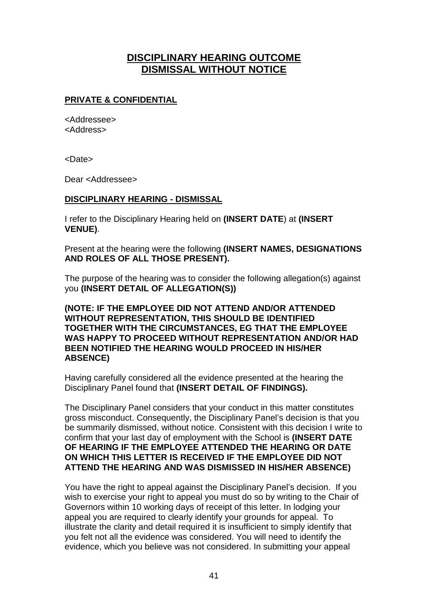# **DISCIPLINARY HEARING OUTCOME DISMISSAL WITHOUT NOTICE**

# **PRIVATE & CONFIDENTIAL**

<Addressee> <Address>

<Date>

Dear <Addressee>

### **DISCIPLINARY HEARING - DISMISSAL**

I refer to the Disciplinary Hearing held on **(INSERT DATE**) at **(INSERT VENUE)**.

Present at the hearing were the following **(INSERT NAMES, DESIGNATIONS AND ROLES OF ALL THOSE PRESENT).**

The purpose of the hearing was to consider the following allegation(s) against you **(INSERT DETAIL OF ALLEGATION(S))**

**(NOTE: IF THE EMPLOYEE DID NOT ATTEND AND/OR ATTENDED WITHOUT REPRESENTATION, THIS SHOULD BE IDENTIFIED TOGETHER WITH THE CIRCUMSTANCES, EG THAT THE EMPLOYEE WAS HAPPY TO PROCEED WITHOUT REPRESENTATION AND/OR HAD BEEN NOTIFIED THE HEARING WOULD PROCEED IN HIS/HER ABSENCE)**

Having carefully considered all the evidence presented at the hearing the Disciplinary Panel found that **(INSERT DETAIL OF FINDINGS).**

The Disciplinary Panel considers that your conduct in this matter constitutes gross misconduct. Consequently, the Disciplinary Panel's decision is that you be summarily dismissed, without notice. Consistent with this decision I write to confirm that your last day of employment with the School is **(INSERT DATE OF HEARING IF THE EMPLOYEE ATTENDED THE HEARING OR DATE ON WHICH THIS LETTER IS RECEIVED IF THE EMPLOYEE DID NOT ATTEND THE HEARING AND WAS DISMISSED IN HIS/HER ABSENCE)**

You have the right to appeal against the Disciplinary Panel's decision. If you wish to exercise your right to appeal you must do so by writing to the Chair of Governors within 10 working days of receipt of this letter. In lodging your appeal you are required to clearly identify your grounds for appeal. To illustrate the clarity and detail required it is insufficient to simply identify that you felt not all the evidence was considered. You will need to identify the evidence, which you believe was not considered. In submitting your appeal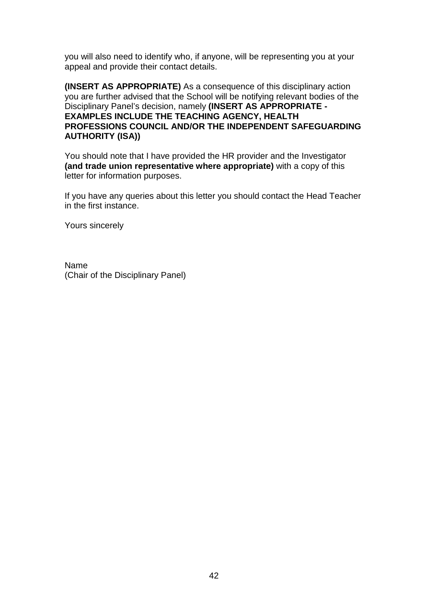you will also need to identify who, if anyone, will be representing you at your appeal and provide their contact details.

**(INSERT AS APPROPRIATE)** As a consequence of this disciplinary action you are further advised that the School will be notifying relevant bodies of the Disciplinary Panel's decision, namely **(INSERT AS APPROPRIATE - EXAMPLES INCLUDE THE TEACHING AGENCY, HEALTH PROFESSIONS COUNCIL AND/OR THE INDEPENDENT SAFEGUARDING AUTHORITY (ISA))** 

You should note that I have provided the HR provider and the Investigator **(and trade union representative where appropriate)** with a copy of this letter for information purposes.

If you have any queries about this letter you should contact the Head Teacher in the first instance.

Yours sincerely

Name (Chair of the Disciplinary Panel)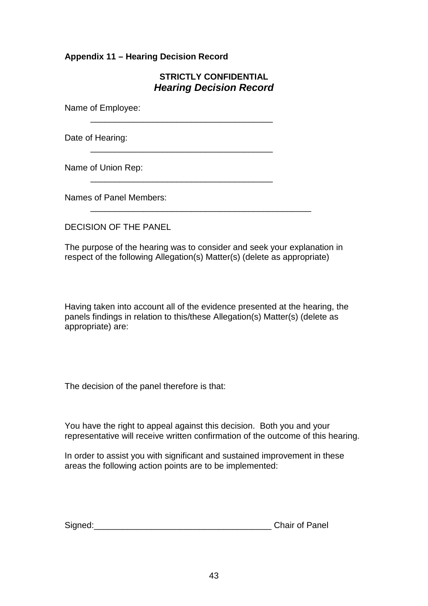# **Appendix 11 – Hearing Decision Record**

# **STRICTLY CONFIDENTIAL** *Hearing Decision Record*

Name of Employee:

Date of Hearing:

\_\_\_\_\_\_\_\_\_\_\_\_\_\_\_\_\_\_\_\_\_\_\_\_\_\_\_\_\_\_\_\_\_\_\_\_\_\_

\_\_\_\_\_\_\_\_\_\_\_\_\_\_\_\_\_\_\_\_\_\_\_\_\_\_\_\_\_\_\_\_\_\_\_\_\_\_

\_\_\_\_\_\_\_\_\_\_\_\_\_\_\_\_\_\_\_\_\_\_\_\_\_\_\_\_\_\_\_\_\_\_\_\_\_\_

Name of Union Rep:

Names of Panel Members:

DECISION OF THE PANEL

The purpose of the hearing was to consider and seek your explanation in respect of the following Allegation(s) Matter(s) (delete as appropriate)

\_\_\_\_\_\_\_\_\_\_\_\_\_\_\_\_\_\_\_\_\_\_\_\_\_\_\_\_\_\_\_\_\_\_\_\_\_\_\_\_\_\_\_\_\_\_

Having taken into account all of the evidence presented at the hearing, the panels findings in relation to this/these Allegation(s) Matter(s) (delete as appropriate) are:

The decision of the panel therefore is that:

You have the right to appeal against this decision. Both you and your representative will receive written confirmation of the outcome of this hearing.

In order to assist you with significant and sustained improvement in these areas the following action points are to be implemented:

| Signed: | <b>Chair of Panel</b> |
|---------|-----------------------|
|---------|-----------------------|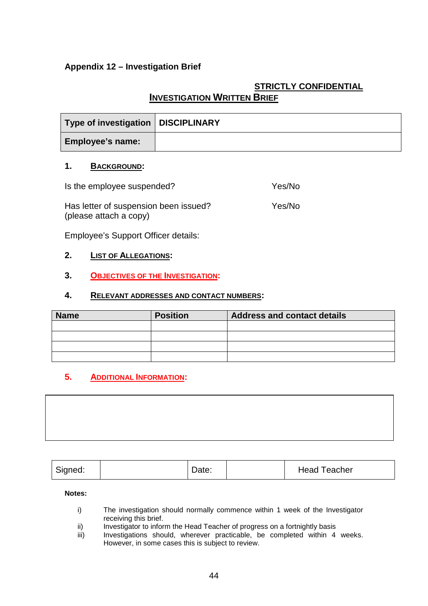# **Appendix 12 – Investigation Brief**

# **STRICTLY CONFIDENTIAL**

# **INVESTIGATION WRITTEN BRIEF**

| Type of investigation   DISCIPLINARY |  |
|--------------------------------------|--|
| <b>Employee's name:</b>              |  |

### **1. BACKGROUND:**

| Is the employee suspended?                                      | Yes/No |  |
|-----------------------------------------------------------------|--------|--|
| Has letter of suspension been issued?<br>(please attach a copy) | Yes/No |  |

Employee's Support Officer details:

### **2. LIST OF ALLEGATIONS:**

### **3. OBJECTIVES OF THE INVESTIGATION:**

### **4. RELEVANT ADDRESSES AND CONTACT NUMBERS:**

| <b>Name</b> | <b>Position</b> | <b>Address and contact details</b> |
|-------------|-----------------|------------------------------------|
|             |                 |                                    |
|             |                 |                                    |
|             |                 |                                    |
|             |                 |                                    |

### **5. ADDITIONAL INFORMATION:**



**Notes:**

- i) The investigation should normally commence within 1 week of the Investigator receiving this brief.
- ii) Investigator to inform the Head Teacher of progress on a fortnightly basis
- iii) Investigations should, wherever practicable, be completed within 4 weeks. However, in some cases this is subject to review.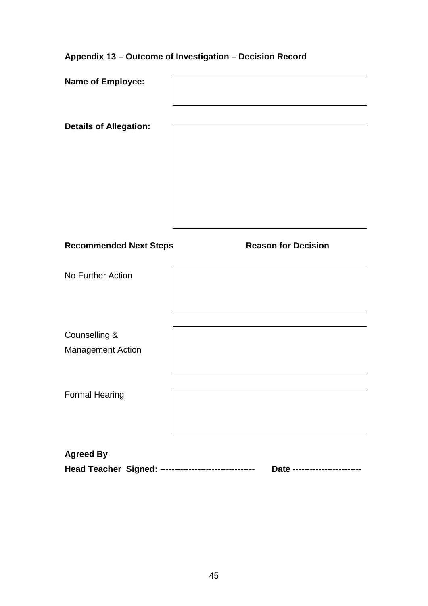# **Appendix 13 – Outcome of Investigation – Decision Record**

| Name of Employee:                                     |                              |
|-------------------------------------------------------|------------------------------|
| <b>Details of Allegation:</b>                         |                              |
|                                                       |                              |
|                                                       |                              |
| <b>Recommended Next Steps</b>                         | <b>Reason for Decision</b>   |
| No Further Action                                     |                              |
|                                                       |                              |
| Counselling &                                         |                              |
| <b>Management Action</b>                              |                              |
| <b>Formal Hearing</b>                                 |                              |
|                                                       |                              |
| <b>Agreed By</b>                                      |                              |
| Head Teacher Signed: -------------------------------- | Date ----------------------- |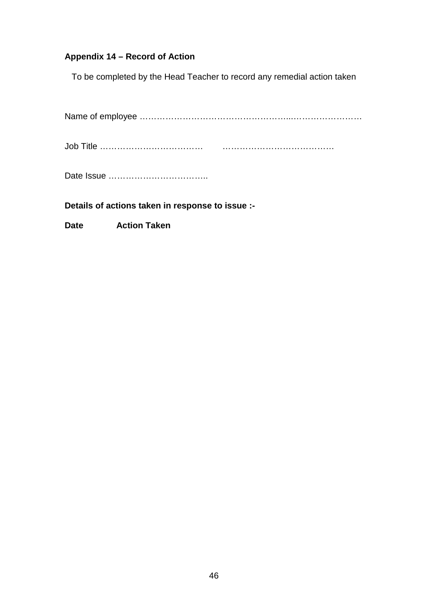# **Appendix 14 – Record of Action**

To be completed by the Head Teacher to record any remedial action taken

Name of employee ……………………………………………...……………………

Job Title ……………………………… …………………………………

Date Issue ……………………………..

**Details of actions taken in response to issue :-**

**Date Action Taken**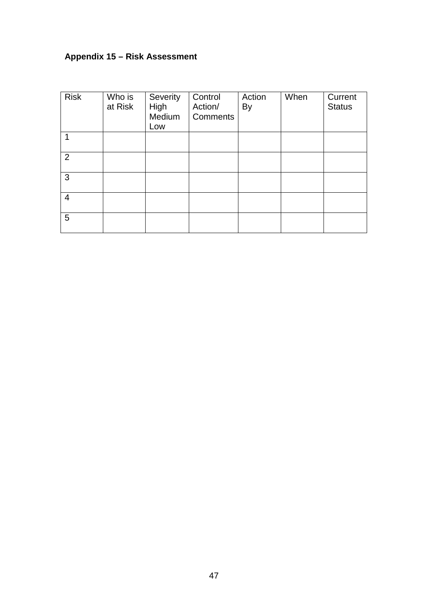# **Appendix 15 – Risk Assessment**

| <b>Risk</b>    | Who is<br>at Risk | Severity<br>High<br>Medium<br>Low | Control<br>Action/<br><b>Comments</b> | Action<br>By | When | Current<br><b>Status</b> |
|----------------|-------------------|-----------------------------------|---------------------------------------|--------------|------|--------------------------|
| 1              |                   |                                   |                                       |              |      |                          |
| $\overline{2}$ |                   |                                   |                                       |              |      |                          |
| 3              |                   |                                   |                                       |              |      |                          |
| $\overline{4}$ |                   |                                   |                                       |              |      |                          |
| 5              |                   |                                   |                                       |              |      |                          |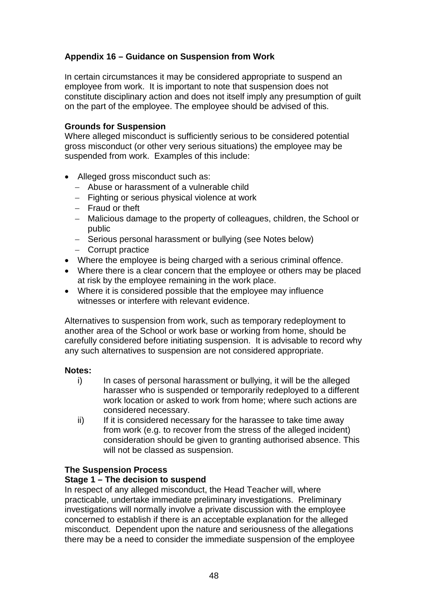# **Appendix 16 – Guidance on Suspension from Work**

In certain circumstances it may be considered appropriate to suspend an employee from work. It is important to note that suspension does not constitute disciplinary action and does not itself imply any presumption of guilt on the part of the employee. The employee should be advised of this.

### **Grounds for Suspension**

Where alleged misconduct is sufficiently serious to be considered potential gross misconduct (or other very serious situations) the employee may be suspended from work. Examples of this include:

- Alleged gross misconduct such as:
	- − Abuse or harassment of a vulnerable child
	- − Fighting or serious physical violence at work
	- − Fraud or theft
	- − Malicious damage to the property of colleagues, children, the School or public
	- − Serious personal harassment or bullying (see Notes below)
	- − Corrupt practice
- Where the employee is being charged with a serious criminal offence.
- Where there is a clear concern that the employee or others may be placed at risk by the employee remaining in the work place.
- Where it is considered possible that the employee may influence witnesses or interfere with relevant evidence.

Alternatives to suspension from work, such as temporary redeployment to another area of the School or work base or working from home, should be carefully considered before initiating suspension. It is advisable to record why any such alternatives to suspension are not considered appropriate.

### **Notes:**

- i) In cases of personal harassment or bullying, it will be the alleged harasser who is suspended or temporarily redeployed to a different work location or asked to work from home; where such actions are considered necessary.
- ii) If it is considered necessary for the harassee to take time away from work (e.g. to recover from the stress of the alleged incident) consideration should be given to granting authorised absence. This will not be classed as suspension.

### **The Suspension Process**

### **Stage 1 – The decision to suspend**

In respect of any alleged misconduct, the Head Teacher will, where practicable, undertake immediate preliminary investigations. Preliminary investigations will normally involve a private discussion with the employee concerned to establish if there is an acceptable explanation for the alleged misconduct. Dependent upon the nature and seriousness of the allegations there may be a need to consider the immediate suspension of the employee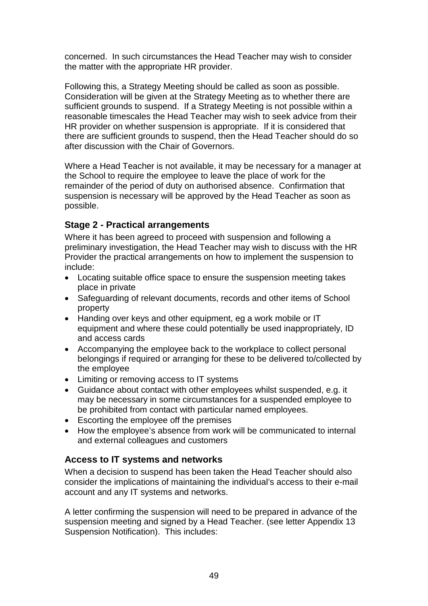concerned. In such circumstances the Head Teacher may wish to consider the matter with the appropriate HR provider.

Following this, a Strategy Meeting should be called as soon as possible. Consideration will be given at the Strategy Meeting as to whether there are sufficient grounds to suspend. If a Strategy Meeting is not possible within a reasonable timescales the Head Teacher may wish to seek advice from their HR provider on whether suspension is appropriate. If it is considered that there are sufficient grounds to suspend, then the Head Teacher should do so after discussion with the Chair of Governors.

Where a Head Teacher is not available, it may be necessary for a manager at the School to require the employee to leave the place of work for the remainder of the period of duty on authorised absence. Confirmation that suspension is necessary will be approved by the Head Teacher as soon as possible.

# **Stage 2 - Practical arrangements**

Where it has been agreed to proceed with suspension and following a preliminary investigation, the Head Teacher may wish to discuss with the HR Provider the practical arrangements on how to implement the suspension to include:

- Locating suitable office space to ensure the suspension meeting takes place in private
- Safeguarding of relevant documents, records and other items of School property
- Handing over keys and other equipment, eg a work mobile or IT equipment and where these could potentially be used inappropriately, ID and access cards
- Accompanying the employee back to the workplace to collect personal belongings if required or arranging for these to be delivered to/collected by the employee
- Limiting or removing access to IT systems
- Guidance about contact with other employees whilst suspended, e.g. it may be necessary in some circumstances for a suspended employee to be prohibited from contact with particular named employees.
- Escorting the employee off the premises
- How the employee's absence from work will be communicated to internal and external colleagues and customers

# **Access to IT systems and networks**

When a decision to suspend has been taken the Head Teacher should also consider the implications of maintaining the individual's access to their e-mail account and any IT systems and networks.

A letter confirming the suspension will need to be prepared in advance of the suspension meeting and signed by a Head Teacher. (see letter Appendix 13 Suspension Notification). This includes: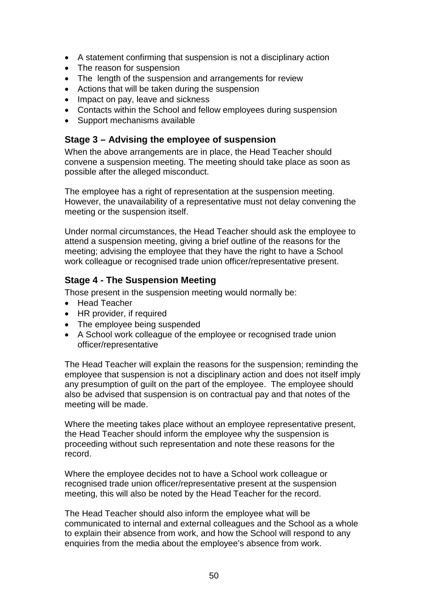- A statement confirming that suspension is not a disciplinary action
- The reason for suspension
- The length of the suspension and arrangements for review
- Actions that will be taken during the suspension
- Impact on pay, leave and sickness
- Contacts within the School and fellow employees during suspension
- Support mechanisms available

# **Stage 3 – Advising the employee of suspension**

When the above arrangements are in place, the Head Teacher should convene a suspension meeting. The meeting should take place as soon as possible after the alleged misconduct.

The employee has a right of representation at the suspension meeting. However, the unavailability of a representative must not delay convening the meeting or the suspension itself.

Under normal circumstances, the Head Teacher should ask the employee to attend a suspension meeting, giving a brief outline of the reasons for the meeting; advising the employee that they have the right to have a School work colleague or recognised trade union officer/representative present.

# **Stage 4 - The Suspension Meeting**

Those present in the suspension meeting would normally be:

- Head Teacher
- HR provider, if required
- The employee being suspended
- A School work colleague of the employee or recognised trade union officer/representative

The Head Teacher will explain the reasons for the suspension; reminding the employee that suspension is not a disciplinary action and does not itself imply any presumption of guilt on the part of the employee. The employee should also be advised that suspension is on contractual pay and that notes of the meeting will be made.

Where the meeting takes place without an employee representative present, the Head Teacher should inform the employee why the suspension is proceeding without such representation and note these reasons for the record.

Where the employee decides not to have a School work colleague or recognised trade union officer/representative present at the suspension meeting, this will also be noted by the Head Teacher for the record.

The Head Teacher should also inform the employee what will be communicated to internal and external colleagues and the School as a whole to explain their absence from work, and how the School will respond to any enquiries from the media about the employee's absence from work.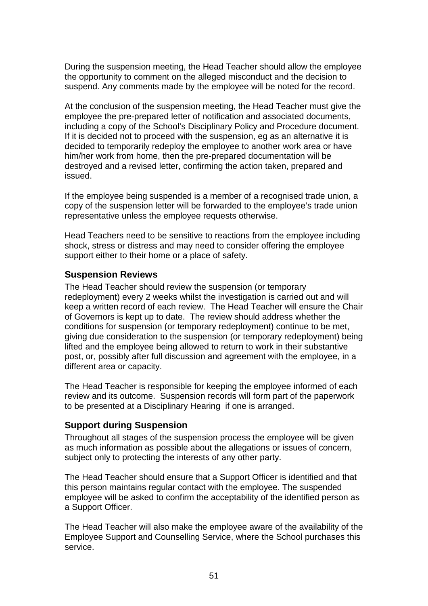During the suspension meeting, the Head Teacher should allow the employee the opportunity to comment on the alleged misconduct and the decision to suspend. Any comments made by the employee will be noted for the record.

At the conclusion of the suspension meeting, the Head Teacher must give the employee the pre-prepared letter of notification and associated documents, including a copy of the School's Disciplinary Policy and Procedure document. If it is decided not to proceed with the suspension, eg as an alternative it is decided to temporarily redeploy the employee to another work area or have him/her work from home, then the pre-prepared documentation will be destroyed and a revised letter, confirming the action taken, prepared and issued.

If the employee being suspended is a member of a recognised trade union, a copy of the suspension letter will be forwarded to the employee's trade union representative unless the employee requests otherwise.

Head Teachers need to be sensitive to reactions from the employee including shock, stress or distress and may need to consider offering the employee support either to their home or a place of safety.

### **Suspension Reviews**

The Head Teacher should review the suspension (or temporary redeployment) every 2 weeks whilst the investigation is carried out and will keep a written record of each review. The Head Teacher will ensure the Chair of Governors is kept up to date. The review should address whether the conditions for suspension (or temporary redeployment) continue to be met, giving due consideration to the suspension (or temporary redeployment) being lifted and the employee being allowed to return to work in their substantive post, or, possibly after full discussion and agreement with the employee, in a different area or capacity.

The Head Teacher is responsible for keeping the employee informed of each review and its outcome. Suspension records will form part of the paperwork to be presented at a Disciplinary Hearing if one is arranged.

# **Support during Suspension**

Throughout all stages of the suspension process the employee will be given as much information as possible about the allegations or issues of concern, subject only to protecting the interests of any other party.

The Head Teacher should ensure that a Support Officer is identified and that this person maintains regular contact with the employee. The suspended employee will be asked to confirm the acceptability of the identified person as a Support Officer.

The Head Teacher will also make the employee aware of the availability of the Employee Support and Counselling Service, where the School purchases this service.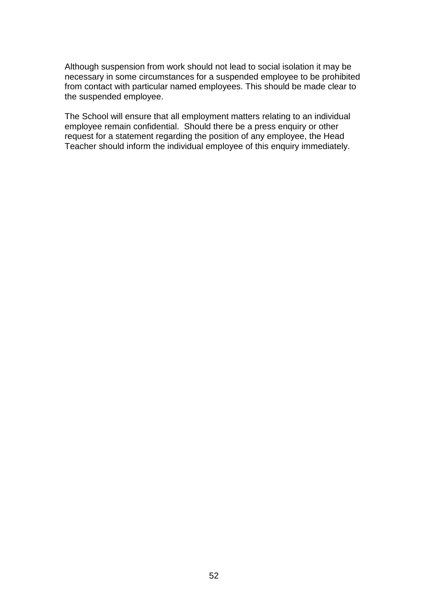Although suspension from work should not lead to social isolation it may be necessary in some circumstances for a suspended employee to be prohibited from contact with particular named employees. This should be made clear to the suspended employee.

The School will ensure that all employment matters relating to an individual employee remain confidential. Should there be a press enquiry or other request for a statement regarding the position of any employee, the Head Teacher should inform the individual employee of this enquiry immediately.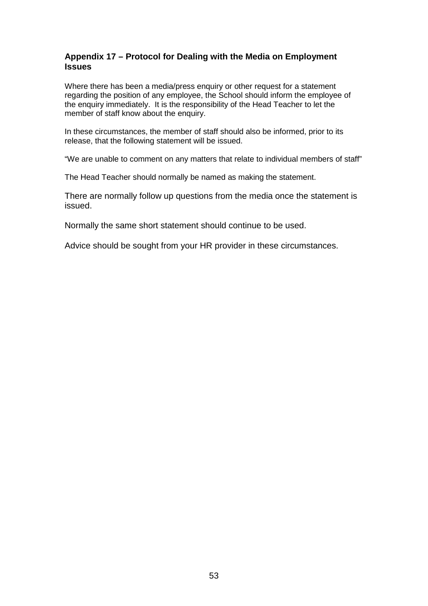### **Appendix 17 – Protocol for Dealing with the Media on Employment Issues**

Where there has been a media/press enquiry or other request for a statement regarding the position of any employee, the School should inform the employee of the enquiry immediately. It is the responsibility of the Head Teacher to let the member of staff know about the enquiry.

In these circumstances, the member of staff should also be informed, prior to its release, that the following statement will be issued.

"We are unable to comment on any matters that relate to individual members of staff"

The Head Teacher should normally be named as making the statement.

There are normally follow up questions from the media once the statement is issued.

Normally the same short statement should continue to be used.

Advice should be sought from your HR provider in these circumstances.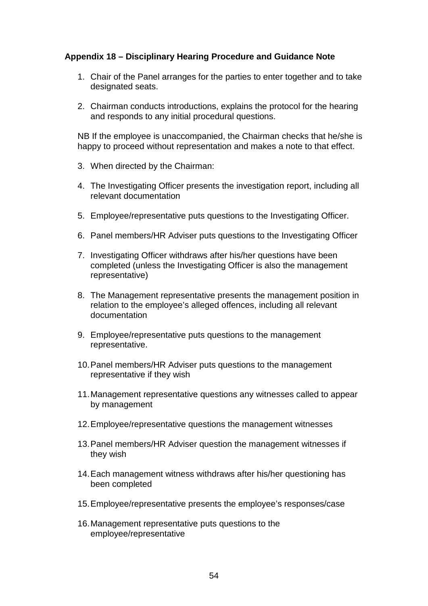### **Appendix 18 – Disciplinary Hearing Procedure and Guidance Note**

- 1. Chair of the Panel arranges for the parties to enter together and to take designated seats.
- 2. Chairman conducts introductions, explains the protocol for the hearing and responds to any initial procedural questions.

NB If the employee is unaccompanied, the Chairman checks that he/she is happy to proceed without representation and makes a note to that effect.

- 3. When directed by the Chairman:
- 4. The Investigating Officer presents the investigation report, including all relevant documentation
- 5. Employee/representative puts questions to the Investigating Officer.
- 6. Panel members/HR Adviser puts questions to the Investigating Officer
- 7. Investigating Officer withdraws after his/her questions have been completed (unless the Investigating Officer is also the management representative)
- 8. The Management representative presents the management position in relation to the employee's alleged offences, including all relevant documentation
- 9. Employee/representative puts questions to the management representative.
- 10.Panel members/HR Adviser puts questions to the management representative if they wish
- 11.Management representative questions any witnesses called to appear by management
- 12.Employee/representative questions the management witnesses
- 13.Panel members/HR Adviser question the management witnesses if they wish
- 14.Each management witness withdraws after his/her questioning has been completed
- 15.Employee/representative presents the employee's responses/case
- 16.Management representative puts questions to the employee/representative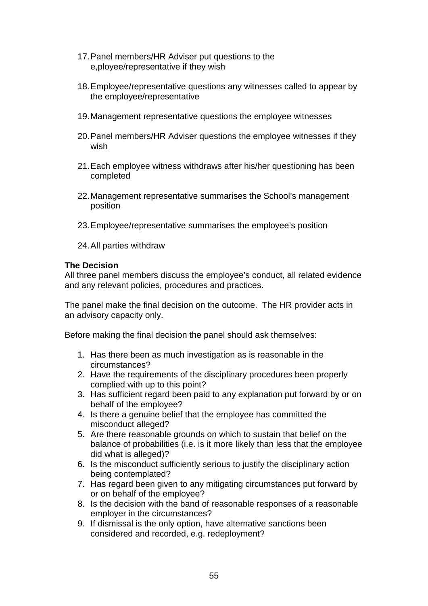- 17.Panel members/HR Adviser put questions to the e,ployee/representative if they wish
- 18.Employee/representative questions any witnesses called to appear by the employee/representative
- 19.Management representative questions the employee witnesses
- 20.Panel members/HR Adviser questions the employee witnesses if they wish
- 21.Each employee witness withdraws after his/her questioning has been completed
- 22.Management representative summarises the School's management position
- 23.Employee/representative summarises the employee's position
- 24.All parties withdraw

### **The Decision**

All three panel members discuss the employee's conduct, all related evidence and any relevant policies, procedures and practices.

The panel make the final decision on the outcome. The HR provider acts in an advisory capacity only.

Before making the final decision the panel should ask themselves:

- 1. Has there been as much investigation as is reasonable in the circumstances?
- 2. Have the requirements of the disciplinary procedures been properly complied with up to this point?
- 3. Has sufficient regard been paid to any explanation put forward by or on behalf of the employee?
- 4. Is there a genuine belief that the employee has committed the misconduct alleged?
- 5. Are there reasonable grounds on which to sustain that belief on the balance of probabilities (i.e. is it more likely than less that the employee did what is alleged)?
- 6. Is the misconduct sufficiently serious to justify the disciplinary action being contemplated?
- 7. Has regard been given to any mitigating circumstances put forward by or on behalf of the employee?
- 8. Is the decision with the band of reasonable responses of a reasonable employer in the circumstances?
- 9. If dismissal is the only option, have alternative sanctions been considered and recorded, e.g. redeployment?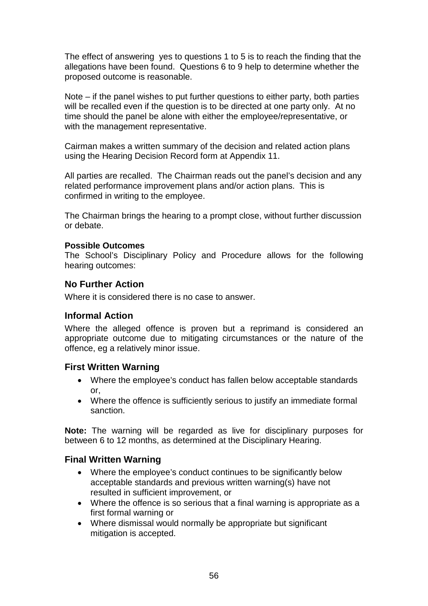The effect of answering yes to questions 1 to 5 is to reach the finding that the allegations have been found. Questions 6 to 9 help to determine whether the proposed outcome is reasonable.

Note – if the panel wishes to put further questions to either party, both parties will be recalled even if the question is to be directed at one party only. At no time should the panel be alone with either the employee/representative, or with the management representative.

Cairman makes a written summary of the decision and related action plans using the Hearing Decision Record form at Appendix 11.

All parties are recalled. The Chairman reads out the panel's decision and any related performance improvement plans and/or action plans. This is confirmed in writing to the employee.

The Chairman brings the hearing to a prompt close, without further discussion or debate.

### **Possible Outcomes**

The School's Disciplinary Policy and Procedure allows for the following hearing outcomes:

### **No Further Action**

Where it is considered there is no case to answer.

### **Informal Action**

Where the alleged offence is proven but a reprimand is considered an appropriate outcome due to mitigating circumstances or the nature of the offence, eg a relatively minor issue.

### **First Written Warning**

- Where the employee's conduct has fallen below acceptable standards or,
- Where the offence is sufficiently serious to justify an immediate formal sanction.

**Note:** The warning will be regarded as live for disciplinary purposes for between 6 to 12 months, as determined at the Disciplinary Hearing.

### **Final Written Warning**

- Where the employee's conduct continues to be significantly below acceptable standards and previous written warning(s) have not resulted in sufficient improvement, or
- Where the offence is so serious that a final warning is appropriate as a first formal warning or
- Where dismissal would normally be appropriate but significant mitigation is accepted.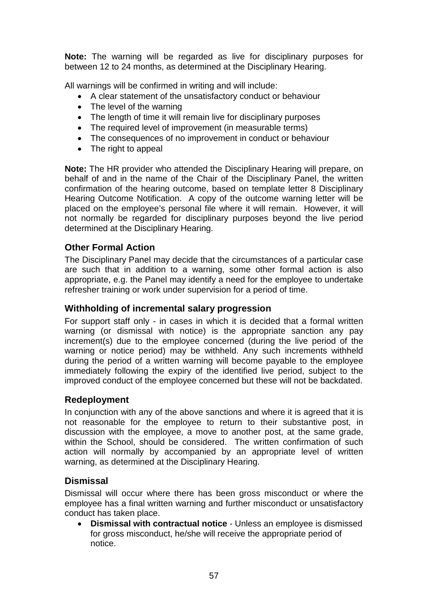**Note:** The warning will be regarded as live for disciplinary purposes for between 12 to 24 months, as determined at the Disciplinary Hearing.

All warnings will be confirmed in writing and will include:

- A clear statement of the unsatisfactory conduct or behaviour
- The level of the warning
- The length of time it will remain live for disciplinary purposes
- The required level of improvement (in measurable terms)
- The consequences of no improvement in conduct or behaviour
- The right to appeal

**Note:** The HR provider who attended the Disciplinary Hearing will prepare, on behalf of and in the name of the Chair of the Disciplinary Panel, the written confirmation of the hearing outcome, based on template letter 8 Disciplinary Hearing Outcome Notification. A copy of the outcome warning letter will be placed on the employee's personal file where it will remain. However, it will not normally be regarded for disciplinary purposes beyond the live period determined at the Disciplinary Hearing.

# **Other Formal Action**

The Disciplinary Panel may decide that the circumstances of a particular case are such that in addition to a warning, some other formal action is also appropriate, e.g. the Panel may identify a need for the employee to undertake refresher training or work under supervision for a period of time.

# **Withholding of incremental salary progression**

For support staff only - in cases in which it is decided that a formal written warning (or dismissal with notice) is the appropriate sanction any pay increment(s) due to the employee concerned (during the live period of the warning or notice period) may be withheld. Any such increments withheld during the period of a written warning will become payable to the employee immediately following the expiry of the identified live period, subject to the improved conduct of the employee concerned but these will not be backdated.

# **Redeployment**

In conjunction with any of the above sanctions and where it is agreed that it is not reasonable for the employee to return to their substantive post, in discussion with the employee, a move to another post, at the same grade, within the School, should be considered. The written confirmation of such action will normally by accompanied by an appropriate level of written warning, as determined at the Disciplinary Hearing.

# **Dismissal**

Dismissal will occur where there has been gross misconduct or where the employee has a final written warning and further misconduct or unsatisfactory conduct has taken place.

• **Dismissal with contractual notice** - Unless an employee is dismissed for gross misconduct, he/she will receive the appropriate period of notice.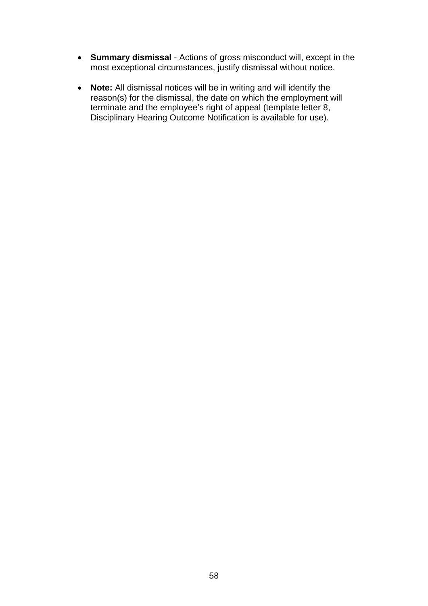- **Summary dismissal** Actions of gross misconduct will, except in the most exceptional circumstances, justify dismissal without notice.
- **Note:** All dismissal notices will be in writing and will identify the reason(s) for the dismissal, the date on which the employment will terminate and the employee's right of appeal (template letter 8, Disciplinary Hearing Outcome Notification is available for use).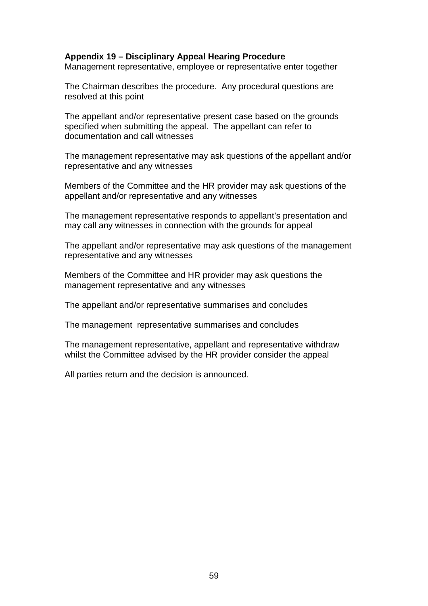### **Appendix 19 – Disciplinary Appeal Hearing Procedure**

Management representative, employee or representative enter together

The Chairman describes the procedure. Any procedural questions are resolved at this point

The appellant and/or representative present case based on the grounds specified when submitting the appeal. The appellant can refer to documentation and call witnesses

The management representative may ask questions of the appellant and/or representative and any witnesses

Members of the Committee and the HR provider may ask questions of the appellant and/or representative and any witnesses

The management representative responds to appellant's presentation and may call any witnesses in connection with the grounds for appeal

The appellant and/or representative may ask questions of the management representative and any witnesses

Members of the Committee and HR provider may ask questions the management representative and any witnesses

The appellant and/or representative summarises and concludes

The management representative summarises and concludes

The management representative, appellant and representative withdraw whilst the Committee advised by the HR provider consider the appeal

All parties return and the decision is announced.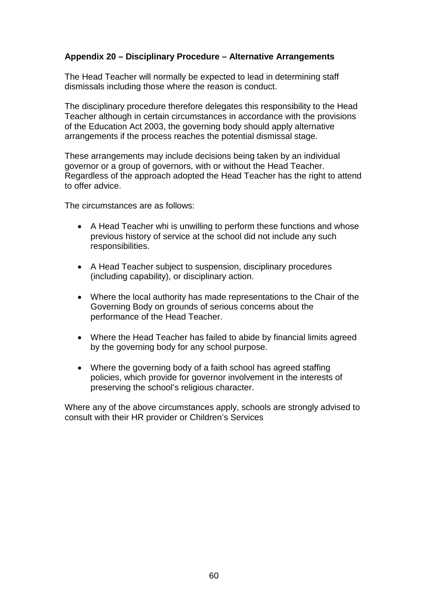### **Appendix 20 – Disciplinary Procedure – Alternative Arrangements**

The Head Teacher will normally be expected to lead in determining staff dismissals including those where the reason is conduct.

The disciplinary procedure therefore delegates this responsibility to the Head Teacher although in certain circumstances in accordance with the provisions of the Education Act 2003, the governing body should apply alternative arrangements if the process reaches the potential dismissal stage.

These arrangements may include decisions being taken by an individual governor or a group of governors, with or without the Head Teacher. Regardless of the approach adopted the Head Teacher has the right to attend to offer advice.

The circumstances are as follows:

- A Head Teacher whi is unwilling to perform these functions and whose previous history of service at the school did not include any such responsibilities.
- A Head Teacher subject to suspension, disciplinary procedures (including capability), or disciplinary action.
- Where the local authority has made representations to the Chair of the Governing Body on grounds of serious concerns about the performance of the Head Teacher.
- Where the Head Teacher has failed to abide by financial limits agreed by the governing body for any school purpose.
- Where the governing body of a faith school has agreed staffing policies, which provide for governor involvement in the interests of preserving the school's religious character.

Where any of the above circumstances apply, schools are strongly advised to consult with their HR provider or Children's Services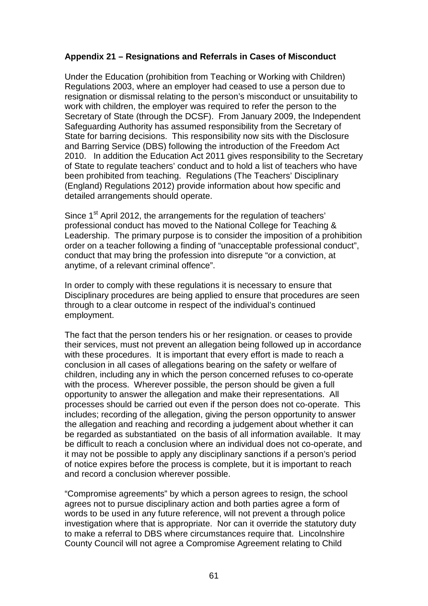### **Appendix 21 – Resignations and Referrals in Cases of Misconduct**

Under the Education (prohibition from Teaching or Working with Children) Regulations 2003, where an employer had ceased to use a person due to resignation or dismissal relating to the person's misconduct or unsuitability to work with children, the employer was required to refer the person to the Secretary of State (through the DCSF). From January 2009, the Independent Safeguarding Authority has assumed responsibility from the Secretary of State for barring decisions. This responsibility now sits with the Disclosure and Barring Service (DBS) following the introduction of the Freedom Act 2010. In addition the Education Act 2011 gives responsibility to the Secretary of State to regulate teachers' conduct and to hold a list of teachers who have been prohibited from teaching. Regulations (The Teachers' Disciplinary (England) Regulations 2012) provide information about how specific and detailed arrangements should operate.

Since 1<sup>st</sup> April 2012, the arrangements for the regulation of teachers' professional conduct has moved to the National College for Teaching & Leadership. The primary purpose is to consider the imposition of a prohibition order on a teacher following a finding of "unacceptable professional conduct", conduct that may bring the profession into disrepute "or a conviction, at anytime, of a relevant criminal offence".

In order to comply with these regulations it is necessary to ensure that Disciplinary procedures are being applied to ensure that procedures are seen through to a clear outcome in respect of the individual's continued employment.

The fact that the person tenders his or her resignation. or ceases to provide their services, must not prevent an allegation being followed up in accordance with these procedures. It is important that every effort is made to reach a conclusion in all cases of allegations bearing on the safety or welfare of children, including any in which the person concerned refuses to co-operate with the process. Wherever possible, the person should be given a full opportunity to answer the allegation and make their representations. All processes should be carried out even if the person does not co-operate. This includes; recording of the allegation, giving the person opportunity to answer the allegation and reaching and recording a judgement about whether it can be regarded as substantiated on the basis of all information available. It may be difficult to reach a conclusion where an individual does not co-operate, and it may not be possible to apply any disciplinary sanctions if a person's period of notice expires before the process is complete, but it is important to reach and record a conclusion wherever possible.

"Compromise agreements" by which a person agrees to resign, the school agrees not to pursue disciplinary action and both parties agree a form of words to be used in any future reference, will not prevent a through police investigation where that is appropriate. Nor can it override the statutory duty to make a referral to DBS where circumstances require that. Lincolnshire County Council will not agree a Compromise Agreement relating to Child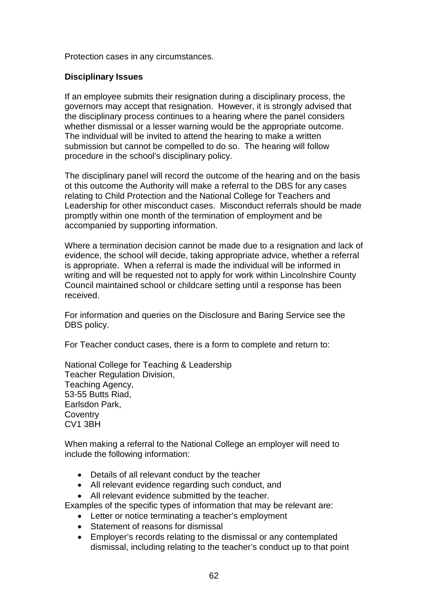Protection cases in any circumstances.

### **Disciplinary Issues**

If an employee submits their resignation during a disciplinary process, the governors may accept that resignation. However, it is strongly advised that the disciplinary process continues to a hearing where the panel considers whether dismissal or a lesser warning would be the appropriate outcome. The individual will be invited to attend the hearing to make a written submission but cannot be compelled to do so. The hearing will follow procedure in the school's disciplinary policy.

The disciplinary panel will record the outcome of the hearing and on the basis ot this outcome the Authority will make a referral to the DBS for any cases relating to Child Protection and the National College for Teachers and Leadership for other misconduct cases. Misconduct referrals should be made promptly within one month of the termination of employment and be accompanied by supporting information.

Where a termination decision cannot be made due to a resignation and lack of evidence, the school will decide, taking appropriate advice, whether a referral is appropriate. When a referral is made the individual will be informed in writing and will be requested not to apply for work within Lincolnshire County Council maintained school or childcare setting until a response has been received.

For information and queries on the Disclosure and Baring Service see the DBS policy.

For Teacher conduct cases, there is a form to complete and return to:

National College for Teaching & Leadership Teacher Regulation Division, Teaching Agency, 53-55 Butts Riad, Earlsdon Park, **Coventry** CV1 3BH

When making a referral to the National College an employer will need to include the following information:

- Details of all relevant conduct by the teacher
- All relevant evidence regarding such conduct, and
- All relevant evidence submitted by the teacher.

Examples of the specific types of information that may be relevant are:

- Letter or notice terminating a teacher's employment
- Statement of reasons for dismissal
- Employer's records relating to the dismissal or any contemplated dismissal, including relating to the teacher's conduct up to that point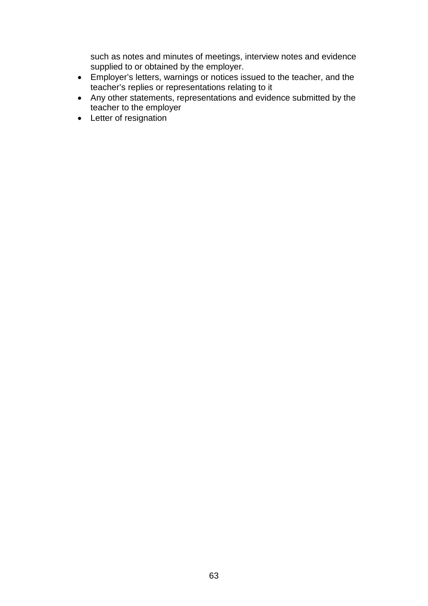such as notes and minutes of meetings, interview notes and evidence supplied to or obtained by the employer.

- Employer's letters, warnings or notices issued to the teacher, and the teacher's replies or representations relating to it
- Any other statements, representations and evidence submitted by the teacher to the employer
- Letter of resignation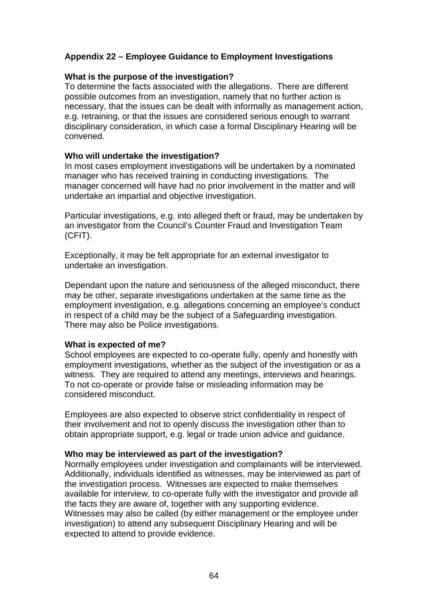### **Appendix 22 – Employee Guidance to Employment Investigations**

### **What is the purpose of the investigation?**

To determine the facts associated with the allegations. There are different possible outcomes from an investigation, namely that no further action is necessary, that the issues can be dealt with informally as management action, e.g. retraining, or that the issues are considered serious enough to warrant disciplinary consideration, in which case a formal Disciplinary Hearing will be convened.

### **Who will undertake the investigation?**

In most cases employment investigations will be undertaken by a nominated manager who has received training in conducting investigations. The manager concerned will have had no prior involvement in the matter and will undertake an impartial and objective investigation.

Particular investigations, e.g. into alleged theft or fraud, may be undertaken by an investigator from the Council's Counter Fraud and Investigation Team (CFIT).

Exceptionally, it may be felt appropriate for an external investigator to undertake an investigation.

Dependant upon the nature and seriousness of the alleged misconduct, there may be other, separate investigations undertaken at the same time as the employment investigation, e.g. allegations concerning an employee's conduct in respect of a child may be the subject of a Safeguarding investigation. There may also be Police investigations.

### **What is expected of me?**

School employees are expected to co-operate fully, openly and honestly with employment investigations, whether as the subject of the investigation or as a witness. They are required to attend any meetings, interviews and hearings. To not co-operate or provide false or misleading information may be considered misconduct.

Employees are also expected to observe strict confidentiality in respect of their involvement and not to openly discuss the investigation other than to obtain appropriate support, e.g. legal or trade union advice and guidance.

### **Who may be interviewed as part of the investigation?**

Normally employees under investigation and complainants will be interviewed. Additionally, individuals identified as witnesses, may be interviewed as part of the investigation process. Witnesses are expected to make themselves available for interview, to co-operate fully with the investigator and provide all the facts they are aware of, together with any supporting evidence. Witnesses may also be called (by either management or the employee under investigation) to attend any subsequent Disciplinary Hearing and will be expected to attend to provide evidence.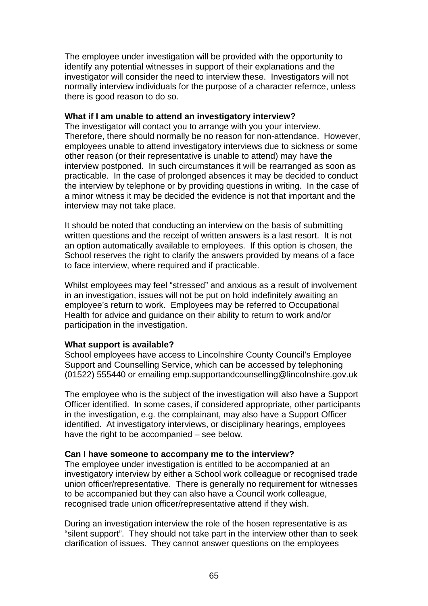The employee under investigation will be provided with the opportunity to identify any potential witnesses in support of their explanations and the investigator will consider the need to interview these. Investigators will not normally interview individuals for the purpose of a character refernce, unless there is good reason to do so.

### **What if I am unable to attend an investigatory interview?**

The investigator will contact you to arrange with you your interview. Therefore, there should normally be no reason for non-attendance. However, employees unable to attend investigatory interviews due to sickness or some other reason (or their representative is unable to attend) may have the interview postponed. In such circumstances it will be rearranged as soon as practicable. In the case of prolonged absences it may be decided to conduct the interview by telephone or by providing questions in writing. In the case of a minor witness it may be decided the evidence is not that important and the interview may not take place.

It should be noted that conducting an interview on the basis of submitting written questions and the receipt of written answers is a last resort. It is not an option automatically available to employees. If this option is chosen, the School reserves the right to clarify the answers provided by means of a face to face interview, where required and if practicable.

Whilst employees may feel "stressed" and anxious as a result of involvement in an investigation, issues will not be put on hold indefinitely awaiting an employee's return to work. Employees may be referred to Occupational Health for advice and guidance on their ability to return to work and/or participation in the investigation.

### **What support is available?**

School employees have access to Lincolnshire County Council's Employee Support and Counselling Service, which can be accessed by telephoning (01522) 555440 or emailing emp.supportandcounselling@lincolnshire.gov.uk

The employee who is the subject of the investigation will also have a Support Officer identified. In some cases, if considered appropriate, other participants in the investigation, e.g. the complainant, may also have a Support Officer identified. At investigatory interviews, or disciplinary hearings, employees have the right to be accompanied – see below.

### **Can I have someone to accompany me to the interview?**

The employee under investigation is entitled to be accompanied at an investigatory interview by either a School work colleague or recognised trade union officer/representative. There is generally no requirement for witnesses to be accompanied but they can also have a Council work colleague, recognised trade union officer/representative attend if they wish.

During an investigation interview the role of the hosen representative is as "silent support". They should not take part in the interview other than to seek clarification of issues. They cannot answer questions on the employees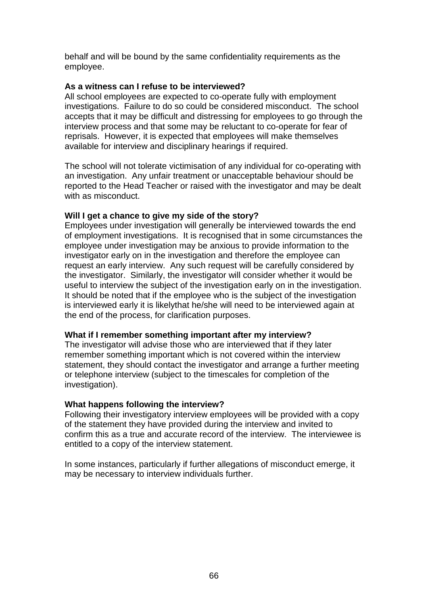behalf and will be bound by the same confidentiality requirements as the employee.

### **As a witness can I refuse to be interviewed?**

All school employees are expected to co-operate fully with employment investigations. Failure to do so could be considered misconduct. The school accepts that it may be difficult and distressing for employees to go through the interview process and that some may be reluctant to co-operate for fear of reprisals. However, it is expected that employees will make themselves available for interview and disciplinary hearings if required.

The school will not tolerate victimisation of any individual for co-operating with an investigation. Any unfair treatment or unacceptable behaviour should be reported to the Head Teacher or raised with the investigator and may be dealt with as misconduct.

### **Will I get a chance to give my side of the story?**

Employees under investigation will generally be interviewed towards the end of employment investigations. It is recognised that in some circumstances the employee under investigation may be anxious to provide information to the investigator early on in the investigation and therefore the employee can request an early interview. Any such request will be carefully considered by the investigator. Similarly, the investigator will consider whether it would be useful to interview the subject of the investigation early on in the investigation. It should be noted that if the employee who is the subject of the investigation is interviewed early it is likelythat he/she will need to be interviewed again at the end of the process, for clarification purposes.

### **What if I remember something important after my interview?**

The investigator will advise those who are interviewed that if they later remember something important which is not covered within the interview statement, they should contact the investigator and arrange a further meeting or telephone interview (subject to the timescales for completion of the investigation).

### **What happens following the interview?**

Following their investigatory interview employees will be provided with a copy of the statement they have provided during the interview and invited to confirm this as a true and accurate record of the interview. The interviewee is entitled to a copy of the interview statement.

In some instances, particularly if further allegations of misconduct emerge, it may be necessary to interview individuals further.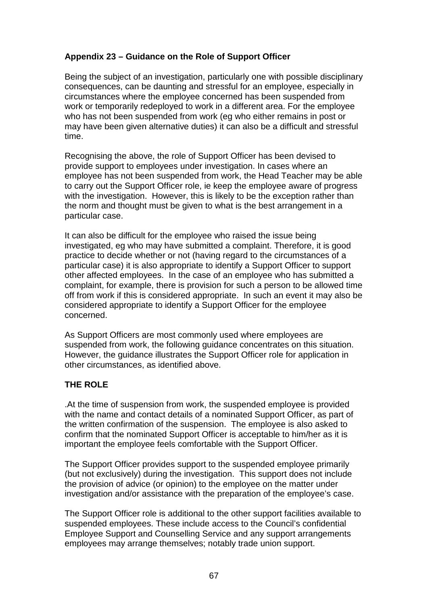# **Appendix 23 – Guidance on the Role of Support Officer**

Being the subject of an investigation, particularly one with possible disciplinary consequences, can be daunting and stressful for an employee, especially in circumstances where the employee concerned has been suspended from work or temporarily redeployed to work in a different area. For the employee who has not been suspended from work (eg who either remains in post or may have been given alternative duties) it can also be a difficult and stressful time.

Recognising the above, the role of Support Officer has been devised to provide support to employees under investigation. In cases where an employee has not been suspended from work, the Head Teacher may be able to carry out the Support Officer role, ie keep the employee aware of progress with the investigation. However, this is likely to be the exception rather than the norm and thought must be given to what is the best arrangement in a particular case.

It can also be difficult for the employee who raised the issue being investigated, eg who may have submitted a complaint. Therefore, it is good practice to decide whether or not (having regard to the circumstances of a particular case) it is also appropriate to identify a Support Officer to support other affected employees. In the case of an employee who has submitted a complaint, for example, there is provision for such a person to be allowed time off from work if this is considered appropriate. In such an event it may also be considered appropriate to identify a Support Officer for the employee concerned.

As Support Officers are most commonly used where employees are suspended from work, the following guidance concentrates on this situation. However, the guidance illustrates the Support Officer role for application in other circumstances, as identified above.

# **THE ROLE**

.At the time of suspension from work, the suspended employee is provided with the name and contact details of a nominated Support Officer, as part of the written confirmation of the suspension. The employee is also asked to confirm that the nominated Support Officer is acceptable to him/her as it is important the employee feels comfortable with the Support Officer.

The Support Officer provides support to the suspended employee primarily (but not exclusively) during the investigation. This support does not include the provision of advice (or opinion) to the employee on the matter under investigation and/or assistance with the preparation of the employee's case.

The Support Officer role is additional to the other support facilities available to suspended employees. These include access to the Council's confidential Employee Support and Counselling Service and any support arrangements employees may arrange themselves; notably trade union support.